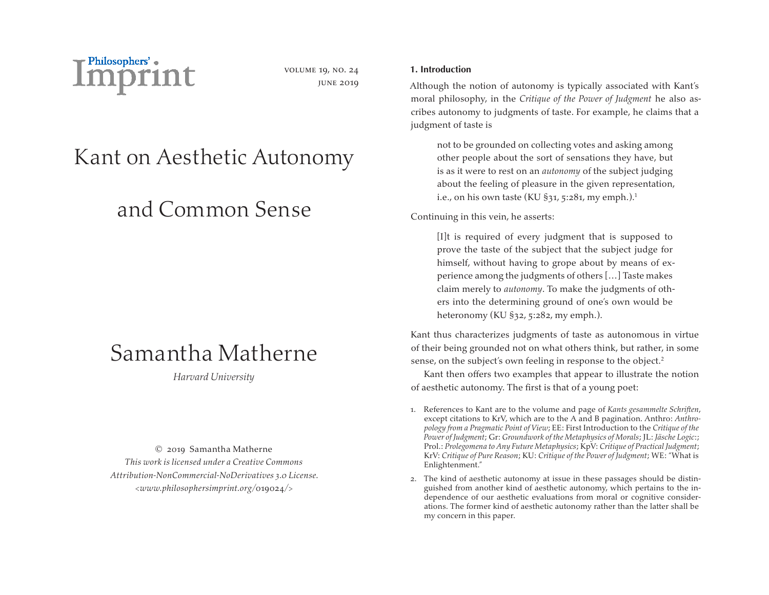

volume 19, no. 24 june 2019

# Kant on Aesthetic Autonomy

# and Common Sense

## Samantha Matherne

*Harvard University*

© 2019 Samantha Matherne *This work is licensed under a Creative Commons Attribution-NonCommercial-NoDerivatives 3.0 License. <www.philosophersimprint.org/*019024*/>*

## **1. Introduction**

Although the notion of autonomy is typically associated with Kant's moral philosophy, in the *Critique of the Power of Judgment* he also ascribes autonomy to judgments of taste. For example, he claims that a judgment of taste is

not to be grounded on collecting votes and asking among other people about the sort of sensations they have, but is as it were to rest on an *autonomy* of the subject judging about the feeling of pleasure in the given representation, i.e., on his own taste (KU  $\S$ 31, 5:281, my emph.).<sup>1</sup>

Continuing in this vein, he asserts:

[I]t is required of every judgment that is supposed to prove the taste of the subject that the subject judge for himself, without having to grope about by means of experience among the judgments of others […] Taste makes claim merely to *autonomy*. To make the judgments of others into the determining ground of one's own would be heteronomy (KU §32, 5:282, my emph.).

Kant thus characterizes judgments of taste as autonomous in virtue of their being grounded not on what others think, but rather, in some sense, on the subject's own feeling in response to the object.<sup>2</sup>

Kant then offers two examples that appear to illustrate the notion of aesthetic autonomy. The first is that of a young poet:

- 1. References to Kant are to the volume and page of *Kants gesammelte Schriften*, except citations to KrV, which are to the A and B pagination. Anthro: *Anthropology from a Pragmatic Point of View*; EE: First Introduction to the *Critique of the Power of Judgment*; Gr: *Groundwork of the Metaphysics of Morals*; JL: *Jäsche Logic*:; Prol.: *Prolegomena to Any Future Metaphysics*; KpV: *Critique of Practical Judgment*; KrV: *Critique of Pure Reason*; KU: *Critique of the Power of Judgment*; WE: "What is Enlightenment."
- 2. The kind of aesthetic autonomy at issue in these passages should be distinguished from another kind of aesthetic autonomy, which pertains to the independence of our aesthetic evaluations from moral or cognitive considerations. The former kind of aesthetic autonomy rather than the latter shall be my concern in this paper.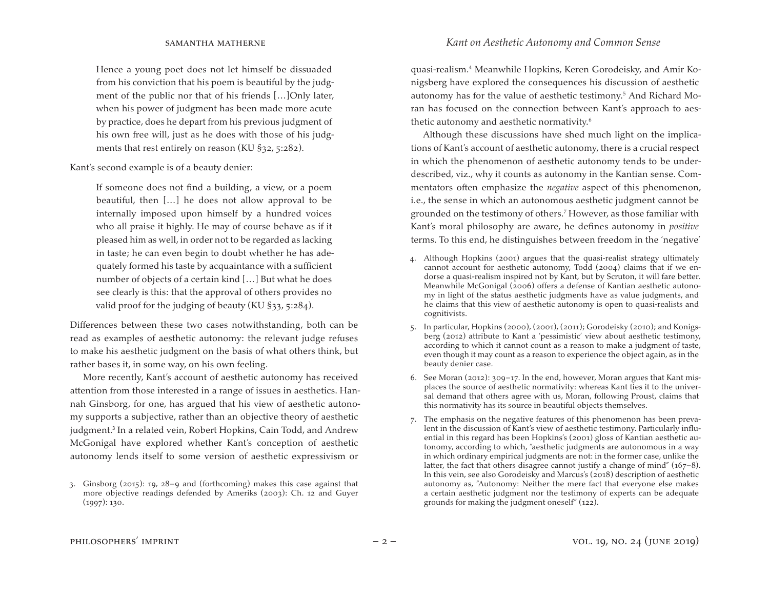Hence a young poet does not let himself be dissuaded from his conviction that his poem is beautiful by the judgment of the public nor that of his friends […]Only later, when his power of judgment has been made more acute by practice, does he depart from his previous judgment of his own free will, just as he does with those of his judgments that rest entirely on reason (KU §32, 5:282).

Kant's second example is of a beauty denier:

If someone does not find a building, a view, or a poem beautiful, then […] he does not allow approval to be internally imposed upon himself by a hundred voices who all praise it highly. He may of course behave as if it pleased him as well, in order not to be regarded as lacking in taste; he can even begin to doubt whether he has adequately formed his taste by acquaintance with a sufficient number of objects of a certain kind […] But what he does see clearly is this: that the approval of others provides no valid proof for the judging of beauty (KU §33, 5:284).

Differences between these two cases notwithstanding, both can be read as examples of aesthetic autonomy: the relevant judge refuses to make his aesthetic judgment on the basis of what others think, but rather bases it, in some way, on his own feeling.

More recently, Kant's account of aesthetic autonomy has received attention from those interested in a range of issues in aesthetics. Hannah Ginsborg, for one, has argued that his view of aesthetic autonomy supports a subjective, rather than an objective theory of aesthetic judgment.<sup>3</sup> In a related vein, Robert Hopkins, Cain Todd, and Andrew McGonigal have explored whether Kant's conception of aesthetic autonomy lends itself to some version of aesthetic expressivism or

quasi-realism.4 Meanwhile Hopkins, Keren Gorodeisky, and Amir Konigsberg have explored the consequences his discussion of aesthetic autonomy has for the value of aesthetic testimony.5 And Richard Moran has focused on the connection between Kant's approach to aesthetic autonomy and aesthetic normativity.6

Although these discussions have shed much light on the implications of Kant's account of aesthetic autonomy, there is a crucial respect in which the phenomenon of aesthetic autonomy tends to be underdescribed, viz., why it counts as autonomy in the Kantian sense. Commentators often emphasize the *negative* aspect of this phenomenon, i.e., the sense in which an autonomous aesthetic judgment cannot be grounded on the testimony of others.7 However, as those familiar with Kant's moral philosophy are aware, he defines autonomy in *positive* terms. To this end, he distinguishes between freedom in the 'negative'

- 4. Although Hopkins (2001) argues that the quasi-realist strategy ultimately cannot account for aesthetic autonomy, Todd (2004) claims that if we endorse a quasi-realism inspired not by Kant, but by Scruton, it will fare better. Meanwhile McGonigal (2006) offers a defense of Kantian aesthetic autonomy in light of the status aesthetic judgments have as value judgments, and he claims that this view of aesthetic autonomy is open to quasi-realists and cognitivists.
- 5. In particular, Hopkins (2000), (2001), (2011); Gorodeisky (2010); and Konigsberg (2012) attribute to Kant a 'pessimistic' view about aesthetic testimony, according to which it cannot count as a reason to make a judgment of taste, even though it may count as a reason to experience the object again, as in the beauty denier case.
- 6. See Moran (2012):  $309-17$ . In the end, however, Moran argues that Kant misplaces the source of aesthetic normativity: whereas Kant ties it to the universal demand that others agree with us, Moran, following Proust, claims that this normativity has its source in beautiful objects themselves.
- 7. The emphasis on the negative features of this phenomenon has been prevalent in the discussion of Kant's view of aesthetic testimony. Particularly influential in this regard has been Hopkins's (2001) gloss of Kantian aesthetic autonomy, according to which, "aesthetic judgments are autonomous in a way in which ordinary empirical judgments are not: in the former case, unlike the latter, the fact that others disagree cannot justify a change of mind"  $(167-8)$ . In this vein, see also Gorodeisky and Marcus's (2018) description of aesthetic autonomy as, "Autonomy: Neither the mere fact that everyone else makes a certain aesthetic judgment nor the testimony of experts can be adequate grounds for making the judgment oneself" (122).

<sup>3.</sup> Ginsborg ( $2015$ ): 19,  $28-9$  and (forthcoming) makes this case against that more objective readings defended by Ameriks (2003): Ch. 12 and Guyer (1997): 130.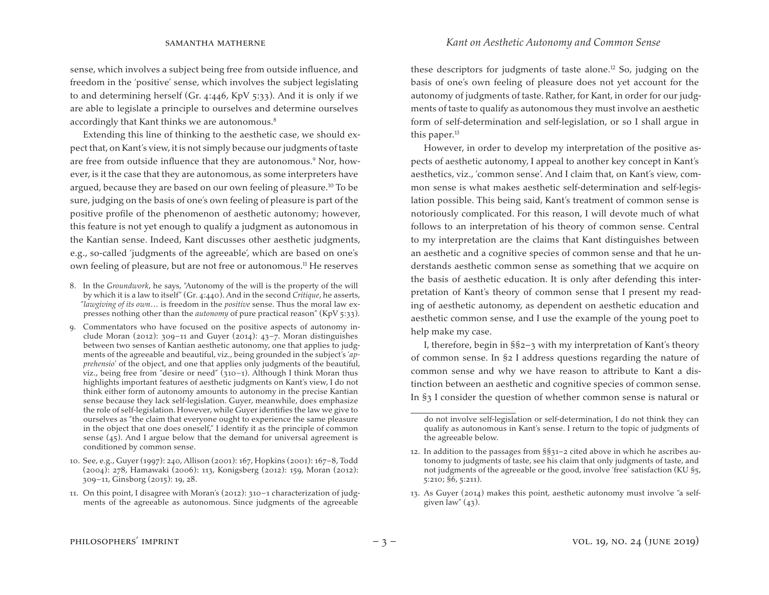sense, which involves a subject being free from outside influence, and freedom in the 'positive' sense, which involves the subject legislating to and determining herself (Gr. 4:446, KpV 5:33). And it is only if we are able to legislate a principle to ourselves and determine ourselves accordingly that Kant thinks we are autonomous.<sup>8</sup>

Extending this line of thinking to the aesthetic case, we should expect that, on Kant's view, it is not simply because ourjudgments of taste are free from outside influence that they are autonomous.<sup>9</sup> Nor, however, is it the case that they are autonomous, as some interpreters have argued, because they are based on our own feeling of pleasure.10 To be sure, judging on the basis of one's own feeling of pleasure is part of the positive profile of the phenomenon of aesthetic autonomy; however, this feature is not yet enough to qualify a judgment as autonomous in the Kantian sense. Indeed, Kant discusses other aesthetic judgments, e.g., so-called 'judgments of the agreeable', which are based on one's own feeling of pleasure, but are not free or autonomous.<sup>11</sup> He reserves

- 8. In the *Groundwork*, he says, "Autonomy of the will is the property of the will by which it is a law to itself" (Gr. 4:440). And in the second *Critique*, he asserts, "*lawgiving of its own*… is freedom in the *positive* sense. Thus the moral law expresses nothing other than the *autonomy* of pure practical reason" (KpV 5:33).
- 9. Commentators who have focused on the positive aspects of autonomy include Moran (2012):  $309-11$  and Guyer (2014):  $43-7$ . Moran distinguishes between two senses of Kantian aesthetic autonomy, one that applies to judgments of the agreeable and beautiful, viz., being grounded in the subject's '*apprehensio*' of the object, and one that applies only judgments of the beautiful, viz., being free from "desire or need" (310–1). Although I think Moran thus highlights important features of aesthetic judgments on Kant's view, I do not think either form of autonomy amounts to autonomy in the precise Kantian sense because they lack self-legislation. Guyer, meanwhile, does emphasize the role of self-legislation. However, while Guyer identifies the law we give to ourselves as "the claim that everyone ought to experience the same pleasure in the object that one does oneself," I identify it as the principle of common sense  $(45)$ . And I argue below that the demand for universal agreement is conditioned by common sense.
- 10. See, e.g., Guyer (1997): 240, Allison (2001): 167, Hopkins (2001): 167–8, Todd (2004): 278, Hamawaki (2006): 113, Konigsberg (2012): 159, Moran (2012): 309–11, Ginsborg (2015): 19, 28.
- 11. On this point, I disagree with Moran's (2012): 310–1 characterization of judgments of the agreeable as autonomous. Since judgments of the agreeable

these descriptors for judgments of taste alone.<sup>12</sup> So, judging on the basis of one's own feeling of pleasure does not yet account for the autonomy of judgments of taste. Rather, for Kant, in order for our judgments of taste to qualify as autonomous they must involve an aesthetic form of self-determination and self-legislation, or so I shall argue in this paper.<sup>13</sup>

However, in order to develop my interpretation of the positive aspects of aesthetic autonomy, I appeal to another key concept in Kant's aesthetics, viz., 'common sense'. And I claim that, on Kant's view, common sense is what makes aesthetic self-determination and self-legislation possible. This being said, Kant's treatment of common sense is notoriously complicated. For this reason, I will devote much of what follows to an interpretation of his theory of common sense. Central to my interpretation are the claims that Kant distinguishes between an aesthetic and a cognitive species of common sense and that he understands aesthetic common sense as something that we acquire on the basis of aesthetic education. It is only after defending this interpretation of Kant's theory of common sense that I present my reading of aesthetic autonomy, as dependent on aesthetic education and aesthetic common sense, and I use the example of the young poet to help make my case.

I, therefore, begin in §§2–3 with my interpretation of Kant's theory of common sense. In §2 I address questions regarding the nature of common sense and why we have reason to attribute to Kant a distinction between an aesthetic and cognitive species of common sense. In §3 I consider the question of whether common sense is natural or

do not involve self-legislation or self-determination, I do not think they can qualify as autonomous in Kant's sense. I return to the topic of judgments of the agreeable below.

<sup>12.</sup> In addition to the passages from  $\S_{31}$ –2 cited above in which he ascribes autonomy to judgments of taste, see his claim that only judgments of taste, and not judgments of the agreeable or the good, involve 'free' satisfaction (KU §5, 5:210; §6, 5:211).

<sup>13.</sup> As Guyer (2014) makes this point, aesthetic autonomy must involve "a selfgiven law"  $(43)$ .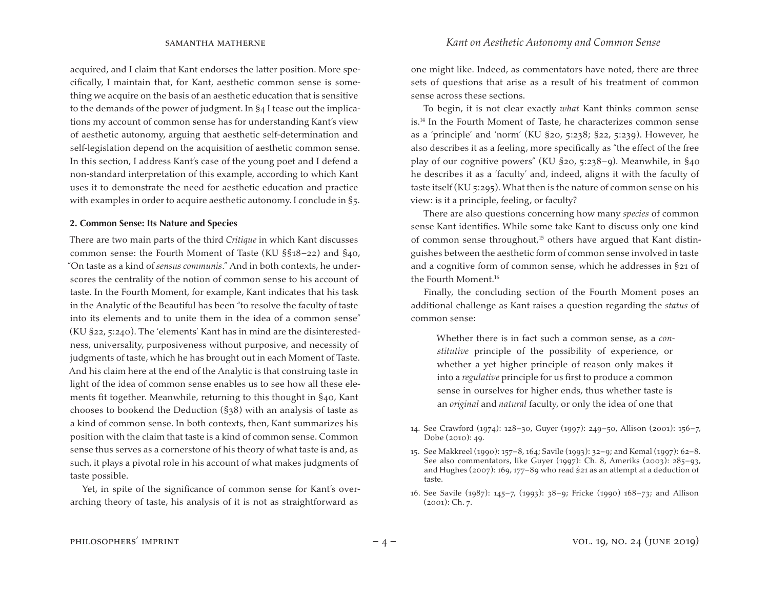acquired, and I claim that Kant endorses the latter position. More specifically, I maintain that, for Kant, aesthetic common sense is something we acquire on the basis of an aesthetic education that is sensitive to the demands of the power of judgment. In §4 I tease out the implications my account of common sense has for understanding Kant's view of aesthetic autonomy, arguing that aesthetic self-determination and self-legislation depend on the acquisition of aesthetic common sense. In this section, I address Kant's case of the young poet and I defend a non-standard interpretation of this example, according to which Kant uses it to demonstrate the need for aesthetic education and practice with examples in order to acquire aesthetic autonomy. I conclude in §5.

### **2. Common Sense: Its Nature and Species**

There are two main parts of the third *Critique* in which Kant discusses common sense: the Fourth Moment of Taste (KU §§18–22) and §40, "On taste as a kind of *sensus communis*." And in both contexts, he underscores the centrality of the notion of common sense to his account of taste. In the Fourth Moment, for example, Kant indicates that his task in the Analytic of the Beautiful has been "to resolve the faculty of taste into its elements and to unite them in the idea of a common sense" (KU §22, 5:240). The 'elements' Kant has in mind are the disinterestedness, universality, purposiveness without purposive, and necessity of judgments of taste, which he has brought out in each Moment of Taste. And his claim here at the end of the Analytic is that construing taste in light of the idea of common sense enables us to see how all these elements fit together. Meanwhile, returning to this thought in §40, Kant chooses to bookend the Deduction (§38) with an analysis of taste as a kind of common sense. In both contexts, then, Kant summarizes his position with the claim that taste is a kind of common sense. Common sense thus serves as a cornerstone of his theory of what taste is and, as such, it plays a pivotal role in his account of what makes judgments of taste possible.

Yet, in spite of the significance of common sense for Kant's overarching theory of taste, his analysis of it is not as straightforward as

one might like. Indeed, as commentators have noted, there are three sets of questions that arise as a result of his treatment of common sense across these sections.

To begin, it is not clear exactly *what* Kant thinks common sense is.14 In the Fourth Moment of Taste, he characterizes common sense as a 'principle' and 'norm' (KU §20, 5:238; §22, 5:239). However, he also describes it as a feeling, more specifically as "the effect of the free play of our cognitive powers" (KU §20, 5:238–9). Meanwhile, in §40 he describes it as a 'faculty' and, indeed, aligns it with the faculty of taste itself (KU 5:295). What then is the nature of common sense on his view: is it a principle, feeling, or faculty?

There are also questions concerning how many *species* of common sense Kant identifies. While some take Kant to discuss only one kind of common sense throughout,<sup>15</sup> others have argued that Kant distinguishes between the aesthetic form of common sense involved in taste and a cognitive form of common sense, which he addresses in §21 of the Fourth Moment.16

Finally, the concluding section of the Fourth Moment poses an additional challenge as Kant raises a question regarding the *status* of common sense:

Whether there is in fact such a common sense, as a *constitutive* principle of the possibility of experience, or whether a yet higher principle of reason only makes it into a *regulative* principle for us first to produce a common sense in ourselves for higher ends, thus whether taste is an *original* and *natural* faculty, or only the idea of one that

14. See Crawford (1974): 128–30, Guyer (1997): 249–50, Allison (2001): 156–7, Dobe (2010): 49.

<sup>15.</sup> See Makkreel (1990): 157–8, 164; Savile (1993): 32–9; and Kemal (1997): 62–8. See also commentators, like Guyer (1997): Ch. 8, Ameriks (2003): 285–93, and Hughes (2007): 169, 177–89 who read §21 as an attempt at a deduction of taste.

<sup>16.</sup> See Savile (1987): 145–7, (1993): 38–9; Fricke (1990) 168–73; and Allison (2001): Ch. 7.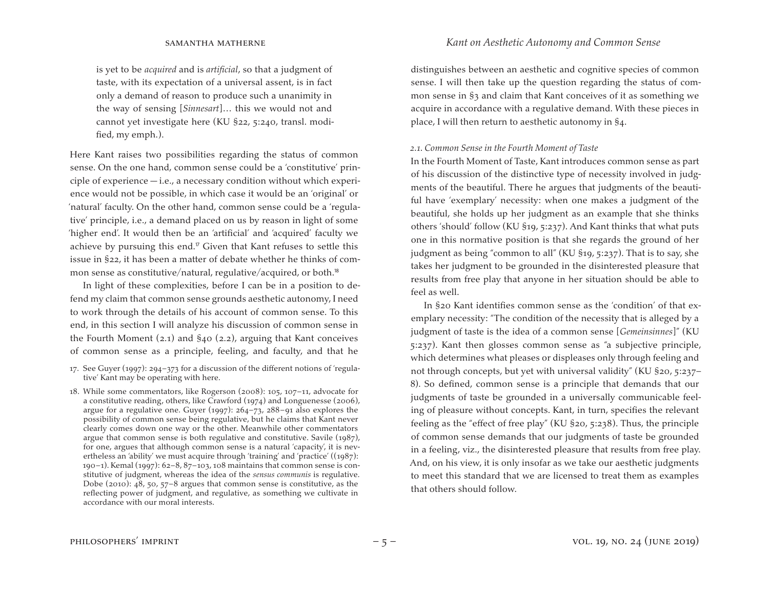is yet to be *acquired* and is *artificial*, so that a judgment of taste, with its expectation of a universal assent, is in fact only a demand of reason to produce such a unanimity in the way of sensing [*Sinnesart*]… this we would not and cannot yet investigate here (KU §22, 5:240, transl. modified, my emph.).

Here Kant raises two possibilities regarding the status of common sense. On the one hand, common sense could be a 'constitutive' principle of experience  $-$  i.e., a necessary condition without which experience would not be possible, in which case it would be an 'original' or 'natural' faculty. On the other hand, common sense could be a 'regulative' principle, i.e., a demand placed on us by reason in light of some 'higher end'. It would then be an 'artificial' and 'acquired' faculty we achieve by pursuing this end.<sup> $\sigma$ </sup> Given that Kant refuses to settle this issue in §22, it has been a matter of debate whether he thinks of common sense as constitutive/natural, regulative/acquired, or both.<sup>18</sup>

In light of these complexities, before I can be in a position to defend my claim that common sense grounds aesthetic autonomy, I need to work through the details of his account of common sense. To this end, in this section I will analyze his discussion of common sense in the Fourth Moment (2.1) and §40 (2.2), arguing that Kant conceives of common sense as a principle, feeling, and faculty, and that he

- 17. See Guyer (1997): 294–373 for a discussion of the different notions of 'regulative' Kant may be operating with here.
- 18. While some commentators, like Rogerson (2008): 105, 107–11, advocate for a constitutive reading, others, like Crawford (1974) and Longuenesse (2006), argue for a regulative one. Guyer (1997): 264–73, 288–91 also explores the possibility of common sense being regulative, but he claims that Kant never clearly comes down one way or the other. Meanwhile other commentators argue that common sense is both regulative and constitutive. Savile (1987), for one, argues that although common sense is a natural 'capacity', it is nevertheless an 'ability' we must acquire through 'training' and 'practice' ((1987): 190–1). Kemal (1997): 62–8, 87–103, 108 maintains that common sense is constitutive of judgment, whereas the idea of the *sensus communis* is regulative. Dobe (2010): 48, 50, 57–8 argues that common sense is constitutive, as the reflecting power of judgment, and regulative, as something we cultivate in accordance with our moral interests.

distinguishes between an aesthetic and cognitive species of common sense. I will then take up the question regarding the status of common sense in §3 and claim that Kant conceives of it as something we acquire in accordance with a regulative demand. With these pieces in place, I will then return to aesthetic autonomy in §4.

#### *2.1. Common Sense in the Fourth Moment of Taste*

In the Fourth Moment of Taste, Kant introduces common sense as part of his discussion of the distinctive type of necessity involved in judgments of the beautiful. There he argues that judgments of the beautiful have 'exemplary' necessity: when one makes a judgment of the beautiful, she holds up her judgment as an example that she thinks others 'should' follow (KU §19, 5:237). And Kant thinks that what puts one in this normative position is that she regards the ground of her judgment as being "common to all" (KU §19, 5:237). That is to say, she takes her judgment to be grounded in the disinterested pleasure that results from free play that anyone in her situation should be able to feel as well.

In §20 Kant identifies common sense as the 'condition' of that exemplary necessity: "The condition of the necessity that is alleged by a judgment of taste is the idea of a common sense [*Gemeinsinnes*]" (KU 5:237). Kant then glosses common sense as "a subjective principle, which determines what pleases or displeases only through feeling and not through concepts, but yet with universal validity" (KU §20, 5:237– 8). So defined, common sense is a principle that demands that our judgments of taste be grounded in a universally communicable feeling of pleasure without concepts. Kant, in turn, specifies the relevant feeling as the "effect of free play" (KU §20, 5:238). Thus, the principle of common sense demands that our judgments of taste be grounded in a feeling, viz., the disinterested pleasure that results from free play. And, on his view, it is only insofar as we take our aesthetic judgments to meet this standard that we are licensed to treat them as examples that others should follow.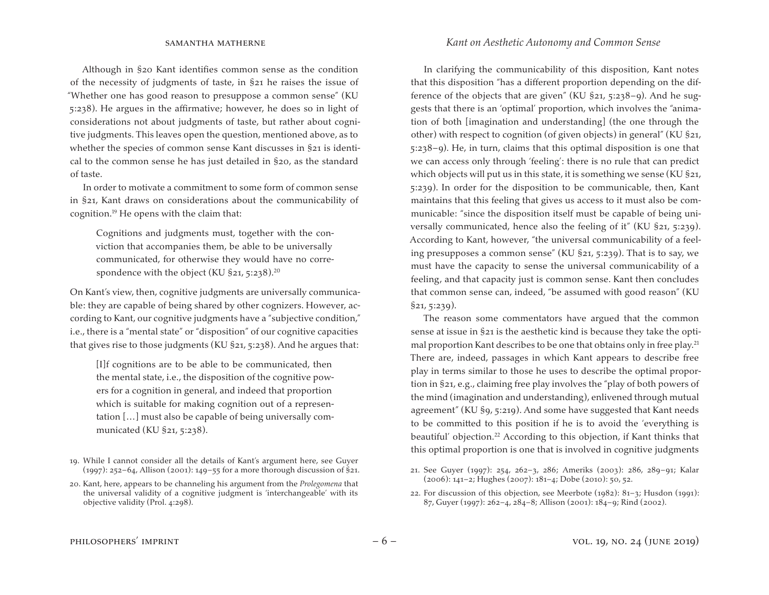Although in §20 Kant identifies common sense as the condition of the necessity of judgments of taste, in §21 he raises the issue of "Whether one has good reason to presuppose a common sense" (KU 5:238). He argues in the affirmative; however, he does so in light of considerations not about judgments of taste, but rather about cognitive judgments. This leaves open the question, mentioned above, as to whether the species of common sense Kant discusses in §21 is identical to the common sense he has just detailed in §20, as the standard of taste.

In order to motivate a commitment to some form of common sense in §21, Kant draws on considerations about the communicability of cognition.19 He opens with the claim that:

Cognitions and judgments must, together with the conviction that accompanies them, be able to be universally communicated, for otherwise they would have no correspondence with the object (KU  $\S$ 21, 5:238).<sup>20</sup>

On Kant's view, then, cognitive judgments are universally communicable: they are capable of being shared by other cognizers. However, according to Kant, our cognitive judgments have a "subjective condition," i.e., there is a "mental state" or "disposition" of our cognitive capacities that gives rise to those judgments (KU §21, 5:238). And he argues that:

[I]f cognitions are to be able to be communicated, then the mental state, i.e., the disposition of the cognitive powers for a cognition in general, and indeed that proportion which is suitable for making cognition out of a representation […] must also be capable of being universally communicated (KU §21, 5:238).

In clarifying the communicability of this disposition, Kant notes that this disposition "has a different proportion depending on the difference of the objects that are given" (KU §21, 5:238–9). And he suggests that there is an 'optimal' proportion, which involves the "animation of both [imagination and understanding] (the one through the other) with respect to cognition (of given objects) in general" (KU §21, 5:238–9). He, in turn, claims that this optimal disposition is one that we can access only through 'feeling': there is no rule that can predict which objects will put us in this state, it is something we sense (KU §21, 5:239). In order for the disposition to be communicable, then, Kant maintains that this feeling that gives us access to it must also be communicable: "since the disposition itself must be capable of being universally communicated, hence also the feeling of it" (KU §21, 5:239). According to Kant, however, "the universal communicability of a feeling presupposes a common sense" (KU §21, 5:239). That is to say, we must have the capacity to sense the universal communicability of a feeling, and that capacity just is common sense. Kant then concludes that common sense can, indeed, "be assumed with good reason" (KU §21, 5:239).

The reason some commentators have argued that the common sense at issue in §21 is the aesthetic kind is because they take the optimal proportion Kant describes to be one that obtains only in free play.<sup>21</sup> There are, indeed, passages in which Kant appears to describe free play in terms similar to those he uses to describe the optimal proportion in §21, e.g., claiming free play involves the "play of both powers of the mind (imagination and understanding), enlivened through mutual agreement" (KU §9, 5:219). And some have suggested that Kant needs to be committed to this position if he is to avoid the 'everything is beautiful' objection.<sup>22</sup> According to this objection, if Kant thinks that this optimal proportion is one that is involved in cognitive judgments

22. For discussion of this objection, see Meerbote (1982): 81-3; Husdon (1991): 87, Guyer (1997): 262–4, 284–8; Allison (2001): 184–9; Rind (2002).

<sup>19.</sup> While I cannot consider all the details of Kant's argument here, see Guyer (1997): 252–64, Allison (2001): 149–55 for a more thorough discussion of §21.

<sup>20.</sup> Kant, here, appears to be channeling his argument from the *Prolegomena* that the universal validity of a cognitive judgment is 'interchangeable' with its objective validity (Prol. 4:298).

<sup>21.</sup> See Guyer (1997): 254, 262–3, 286; Ameriks (2003): 286, 289–91; Kalar (2006): 141–2; Hughes (2007): 181–4; Dobe (2010): 50, 52.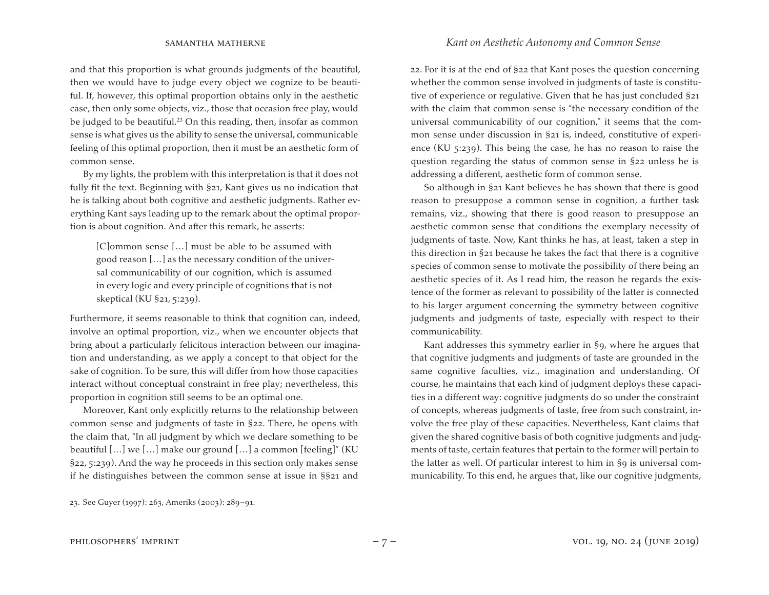and that this proportion is what grounds judgments of the beautiful, then we would have to judge every object we cognize to be beautiful. If, however, this optimal proportion obtains only in the aesthetic case, then only some objects, viz., those that occasion free play, would be judged to be beautiful.<sup>23</sup> On this reading, then, insofar as common sense is what gives us the ability to sense the universal, communicable feeling of this optimal proportion, then it must be an aesthetic form of common sense.

By my lights, the problem with this interpretation is that it does not fully fit the text. Beginning with §21, Kant gives us no indication that he is talking about both cognitive and aesthetic judgments. Rather everything Kant says leading up to the remark about the optimal proportion is about cognition. And after this remark, he asserts:

[C]ommon sense […] must be able to be assumed with good reason […] as the necessary condition of the universal communicability of our cognition, which is assumed in every logic and every principle of cognitions that is not skeptical (KU §21, 5:239).

Furthermore, it seems reasonable to think that cognition can, indeed, involve an optimal proportion, viz., when we encounter objects that bring about a particularly felicitous interaction between our imagination and understanding, as we apply a concept to that object for the sake of cognition. To be sure, this will differ from how those capacities interact without conceptual constraint in free play; nevertheless, this proportion in cognition still seems to be an optimal one.

Moreover, Kant only explicitly returns to the relationship between common sense and judgments of taste in §22. There, he opens with the claim that, "In all judgment by which we declare something to be beautiful […] we […] make our ground […] a common [feeling]" (KU §22, 5:239). And the way he proceeds in this section only makes sense if he distinguishes between the common sense at issue in §§21 and

22. For it is at the end of §22 that Kant poses the question concerning whether the common sense involved in judgments of taste is constitutive of experience or regulative. Given that he has just concluded §21 with the claim that common sense is "the necessary condition of the universal communicability of our cognition," it seems that the common sense under discussion in §21 is, indeed, constitutive of experience (KU 5:239). This being the case, he has no reason to raise the question regarding the status of common sense in §22 unless he is addressing a different, aesthetic form of common sense.

So although in §21 Kant believes he has shown that there is good reason to presuppose a common sense in cognition, a further task remains, viz., showing that there is good reason to presuppose an aesthetic common sense that conditions the exemplary necessity of judgments of taste. Now, Kant thinks he has, at least, taken a step in this direction in §21 because he takes the fact that there is a cognitive species of common sense to motivate the possibility of there being an aesthetic species of it. As I read him, the reason he regards the existence of the former as relevant to possibility of the latter is connected to his larger argument concerning the symmetry between cognitive judgments and judgments of taste, especially with respect to their communicability.

Kant addresses this symmetry earlier in §9, where he argues that that cognitive judgments and judgments of taste are grounded in the same cognitive faculties, viz., imagination and understanding. Of course, he maintains that each kind of judgment deploys these capacities in a different way: cognitive judgments do so under the constraint of concepts, whereas judgments of taste, free from such constraint, involve the free play of these capacities. Nevertheless, Kant claims that given the shared cognitive basis of both cognitive judgments and judgments of taste, certain features that pertain to the former will pertain to the latter as well. Of particular interest to him in §9 is universal communicability. To this end, he argues that, like our cognitive judgments,

<sup>23.</sup> See Guyer (1997): 263, Ameriks (2003): 289–91.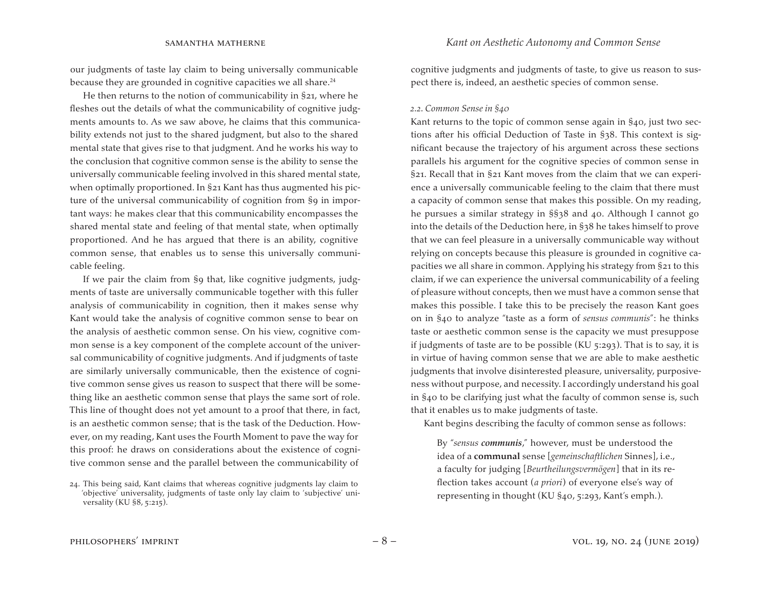our judgments of taste lay claim to being universally communicable because they are grounded in cognitive capacities we all share. $24$ 

He then returns to the notion of communicability in §21, where he fleshes out the details of what the communicability of cognitive judgments amounts to. As we saw above, he claims that this communicability extends not just to the shared judgment, but also to the shared mental state that gives rise to that judgment. And he works his way to the conclusion that cognitive common sense is the ability to sense the universally communicable feeling involved in this shared mental state, when optimally proportioned. In §21 Kant has thus augmented his picture of the universal communicability of cognition from §9 in important ways: he makes clear that this communicability encompasses the shared mental state and feeling of that mental state, when optimally proportioned. And he has argued that there is an ability, cognitive common sense, that enables us to sense this universally communicable feeling.

If we pair the claim from §9 that, like cognitive judgments, judgments of taste are universally communicable together with this fuller analysis of communicability in cognition, then it makes sense why Kant would take the analysis of cognitive common sense to bear on the analysis of aesthetic common sense. On his view, cognitive common sense is a key component of the complete account of the universal communicability of cognitive judgments. And if judgments of taste are similarly universally communicable, then the existence of cognitive common sense gives us reason to suspect that there will be something like an aesthetic common sense that plays the same sort of role. This line of thought does not yet amount to a proof that there, in fact, is an aesthetic common sense; that is the task of the Deduction. However, on my reading, Kant uses the Fourth Moment to pave the way for this proof: he draws on considerations about the existence of cognitive common sense and the parallel between the communicability of

cognitive judgments and judgments of taste, to give us reason to suspect there is, indeed, an aesthetic species of common sense.

#### *2.2. Common Sense in §40*

Kant returns to the topic of common sense again in §40, just two sections after his official Deduction of Taste in §38. This context is significant because the trajectory of his argument across these sections parallels his argument for the cognitive species of common sense in §21. Recall that in §21 Kant moves from the claim that we can experience a universally communicable feeling to the claim that there must a capacity of common sense that makes this possible. On my reading, he pursues a similar strategy in §§38 and 40. Although I cannot go into the details of the Deduction here, in §38 he takes himself to prove that we can feel pleasure in a universally communicable way without relying on concepts because this pleasure is grounded in cognitive capacities we all share in common. Applying his strategy from §21 to this claim, if we can experience the universal communicability of a feeling of pleasure without concepts, then we must have a common sense that makes this possible. I take this to be precisely the reason Kant goes on in §40 to analyze "taste as a form of *sensus communis*": he thinks taste or aesthetic common sense is the capacity we must presuppose if judgments of taste are to be possible (KU 5:293). That is to say, it is in virtue of having common sense that we are able to make aesthetic judgments that involve disinterested pleasure, universality, purposiveness without purpose, and necessity. I accordingly understand his goal in §40 to be clarifying just what the faculty of common sense is, such that it enables us to make judgments of taste.

Kant begins describing the faculty of common sense as follows:

By "*sensus communis*," however, must be understood the idea of a **communal** sense [*gemeinschaftlichen* Sinnes], i.e., a faculty for judging [*Beurtheilungsvermögen*] that in its reflection takes account (*a priori*) of everyone else's way of representing in thought (KU §40, 5:293, Kant's emph.).

<sup>24.</sup> This being said, Kant claims that whereas cognitive judgments lay claim to 'objective' universality, judgments of taste only lay claim to 'subjective' universality (KU §8, 5:215).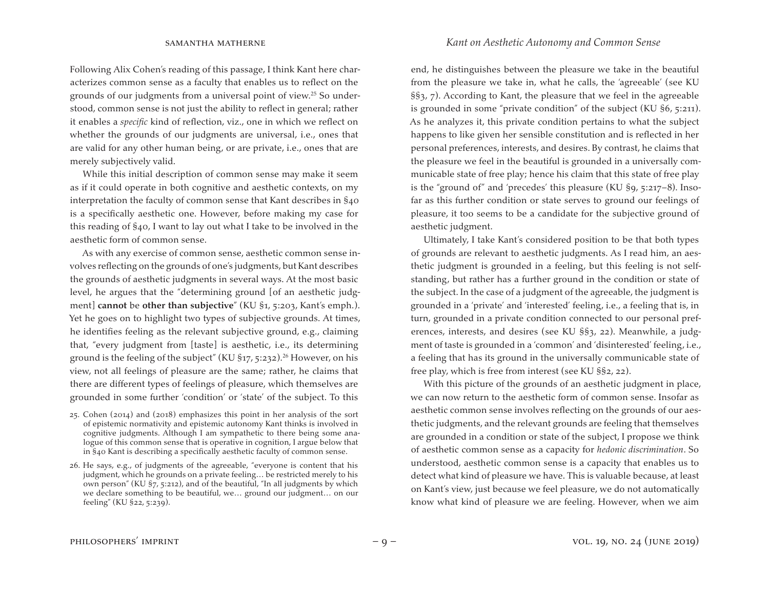Following Alix Cohen's reading of this passage, I think Kant here characterizes common sense as a faculty that enables us to reflect on the grounds of our judgments from a universal point of view.25 So understood, common sense is not just the ability to reflect in general; rather it enables a *specific* kind of reflection, viz., one in which we reflect on whether the grounds of our judgments are universal, i.e., ones that are valid for any other human being, or are private, i.e., ones that are merely subjectively valid.

While this initial description of common sense may make it seem as if it could operate in both cognitive and aesthetic contexts, on my interpretation the faculty of common sense that Kant describes in §40 is a specifically aesthetic one. However, before making my case for this reading of §40, I want to lay out what I take to be involved in the aesthetic form of common sense.

As with any exercise of common sense, aesthetic common sense involves reflecting on the grounds of one's judgments, but Kant describes the grounds of aesthetic judgments in several ways. At the most basic level, he argues that the "determining ground [of an aesthetic judgment] **cannot** be **other than subjective**" (KU §1, 5:203, Kant's emph.). Yet he goes on to highlight two types of subjective grounds. At times, he identifies feeling as the relevant subjective ground, e.g., claiming that, "every judgment from [taste] is aesthetic, i.e., its determining ground is the feeling of the subject" (KU  $\S$ 17, 5:232).<sup>26</sup> However, on his view, not all feelings of pleasure are the same; rather, he claims that there are different types of feelings of pleasure, which themselves are grounded in some further 'condition' or 'state' of the subject. To this

- 25. Cohen (2014) and (2018) emphasizes this point in her analysis of the sort of epistemic normativity and epistemic autonomy Kant thinks is involved in cognitive judgments. Although I am sympathetic to there being some analogue of this common sense that is operative in cognition, I argue below that in §40 Kant is describing a specifically aesthetic faculty of common sense.
- 26. He says, e.g., of judgments of the agreeable, "everyone is content that his judgment, which he grounds on a private feeling… be restricted merely to his own person" (KU §7, 5:212), and of the beautiful, "In all judgments by which we declare something to be beautiful, we… ground our judgment… on our feeling" (KU §22, 5:239).

end, he distinguishes between the pleasure we take in the beautiful from the pleasure we take in, what he calls, the 'agreeable' (see KU §§3, 7). According to Kant, the pleasure that we feel in the agreeable is grounded in some "private condition" of the subject (KU §6, 5:211). As he analyzes it, this private condition pertains to what the subject happens to like given her sensible constitution and is reflected in her personal preferences, interests, and desires. By contrast, he claims that the pleasure we feel in the beautiful is grounded in a universally communicable state of free play; hence his claim that this state of free play is the "ground of" and 'precedes' this pleasure (KU §9, 5:217–8). Insofar as this further condition or state serves to ground our feelings of pleasure, it too seems to be a candidate for the subjective ground of aesthetic judgment.

Ultimately, I take Kant's considered position to be that both types of grounds are relevant to aesthetic judgments. As I read him, an aesthetic judgment is grounded in a feeling, but this feeling is not selfstanding, but rather has a further ground in the condition or state of the subject. In the case of a judgment of the agreeable, the judgment is grounded in a 'private' and 'interested' feeling, i.e., a feeling that is, in turn, grounded in a private condition connected to our personal preferences, interests, and desires (see KU §§3, 22). Meanwhile, a judgment of taste is grounded in a 'common' and 'disinterested' feeling, i.e., a feeling that has its ground in the universally communicable state of free play, which is free from interest (see KU §§2, 22).

With this picture of the grounds of an aesthetic judgment in place, we can now return to the aesthetic form of common sense. Insofar as aesthetic common sense involves reflecting on the grounds of our aesthetic judgments, and the relevant grounds are feeling that themselves are grounded in a condition or state of the subject, I propose we think of aesthetic common sense as a capacity for *hedonic discrimination*. So understood, aesthetic common sense is a capacity that enables us to detect what kind of pleasure we have. This is valuable because, at least on Kant's view, just because we feel pleasure, we do not automatically know what kind of pleasure we are feeling. However, when we aim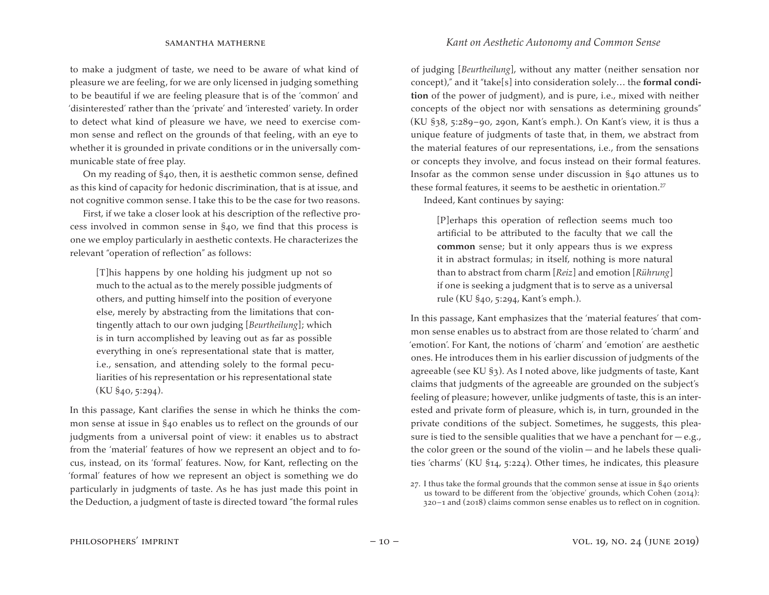to make a judgment of taste, we need to be aware of what kind of pleasure we are feeling, for we are only licensed in judging something to be beautiful if we are feeling pleasure that is of the 'common' and 'disinterested' rather than the 'private' and 'interested' variety. In order to detect what kind of pleasure we have, we need to exercise common sense and reflect on the grounds of that feeling, with an eye to whether it is grounded in private conditions or in the universally communicable state of free play.

On my reading of §40, then, it is aesthetic common sense, defined as this kind of capacity for hedonic discrimination, that is at issue, and not cognitive common sense. I take this to be the case for two reasons.

First, if we take a closer look at his description of the reflective process involved in common sense in §40, we find that this process is one we employ particularly in aesthetic contexts. He characterizes the relevant "operation of reflection" as follows:

[T]his happens by one holding his judgment up not so much to the actual as to the merely possible judgments of others, and putting himself into the position of everyone else, merely by abstracting from the limitations that contingently attach to our own judging [*Beurtheilung*]; which is in turn accomplished by leaving out as far as possible everything in one's representational state that is matter, i.e., sensation, and attending solely to the formal peculiarities of his representation or his representational state (KU §40, 5:294).

In this passage, Kant clarifies the sense in which he thinks the common sense at issue in §40 enables us to reflect on the grounds of our judgments from a universal point of view: it enables us to abstract from the 'material' features of how we represent an object and to focus, instead, on its 'formal' features. Now, for Kant, reflecting on the 'formal' features of how we represent an object is something we do particularly in judgments of taste. As he has just made this point in the Deduction, a judgment of taste is directed toward "the formal rules

of judging [*Beurtheilung*], without any matter (neither sensation nor concept)," and it "take[s] into consideration solely… the **formal condition** of the power of judgment), and is pure, i.e., mixed with neither concepts of the object nor with sensations as determining grounds" (KU §38, 5:289–90, 290n, Kant's emph.). On Kant's view, it is thus a unique feature of judgments of taste that, in them, we abstract from the material features of our representations, i.e., from the sensations or concepts they involve, and focus instead on their formal features. Insofar as the common sense under discussion in §40 attunes us to these formal features, it seems to be aesthetic in orientation.<sup>27</sup>

Indeed, Kant continues by saying:

[P]erhaps this operation of reflection seems much too artificial to be attributed to the faculty that we call the **common** sense; but it only appears thus is we express it in abstract formulas; in itself, nothing is more natural than to abstract from charm [*Reiz*] and emotion [*Rührung*] if one is seeking a judgment that is to serve as a universal rule (KU §40, 5:294, Kant's emph.).

In this passage, Kant emphasizes that the 'material features' that common sense enables us to abstract from are those related to 'charm' and 'emotion'. For Kant, the notions of 'charm' and 'emotion' are aesthetic ones. He introduces them in his earlier discussion of judgments of the agreeable (see KU §3). As I noted above, like judgments of taste, Kant claims that judgments of the agreeable are grounded on the subject's feeling of pleasure; however, unlike judgments of taste, this is an interested and private form of pleasure, which is, in turn, grounded in the private conditions of the subject. Sometimes, he suggests, this pleasure is tied to the sensible qualities that we have a penchant for  $-e.g.,$ the color green or the sound of the violin — and he labels these qualities 'charms' (KU §14, 5:224). Other times, he indicates, this pleasure

 $27.$  I thus take the formal grounds that the common sense at issue in  $\S$ 40 orients us toward to be different from the 'objective' grounds, which Cohen (2014): 320–1 and (2018) claims common sense enables us to reflect on in cognition.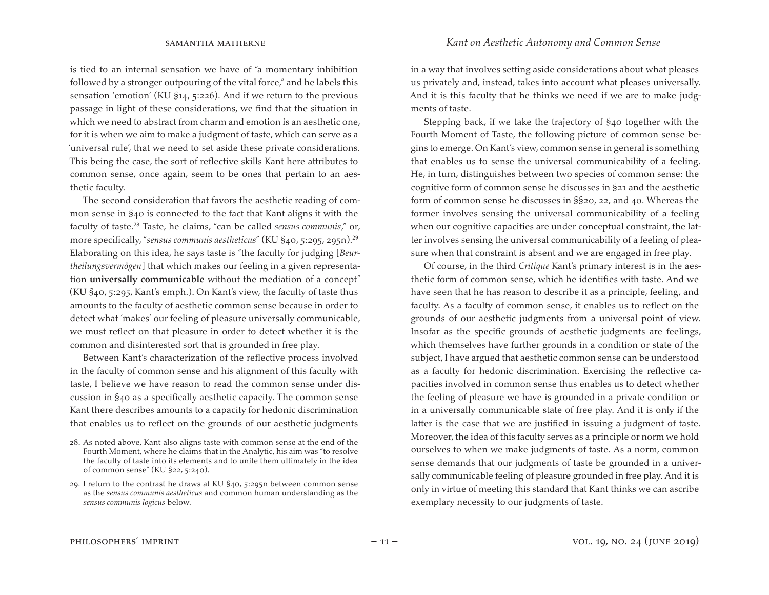is tied to an internal sensation we have of "a momentary inhibition followed by a stronger outpouring of the vital force," and he labels this sensation 'emotion' (KU §14, 5:226). And if we return to the previous passage in light of these considerations, we find that the situation in which we need to abstract from charm and emotion is an aesthetic one, for it is when we aim to make a judgment of taste, which can serve as a 'universal rule', that we need to set aside these private considerations. This being the case, the sort of reflective skills Kant here attributes to common sense, once again, seem to be ones that pertain to an aesthetic faculty.

The second consideration that favors the aesthetic reading of common sense in §40 is connected to the fact that Kant aligns it with the faculty of taste.28 Taste, he claims, "can be called *sensus communis*," or, more specifically, "*sensus communis aestheticus*" (KU §40, 5:295, 295n).29 Elaborating on this idea, he says taste is "the faculty for judging [*Beurtheilungsvermögen*] that which makes our feeling in a given representation **universally communicable** without the mediation of a concept" (KU §40, 5:295, Kant's emph.). On Kant's view, the faculty of taste thus amounts to the faculty of aesthetic common sense because in order to detect what 'makes' our feeling of pleasure universally communicable, we must reflect on that pleasure in order to detect whether it is the common and disinterested sort that is grounded in free play.

Between Kant's characterization of the reflective process involved in the faculty of common sense and his alignment of this faculty with taste, I believe we have reason to read the common sense under discussion in §40 as a specifically aesthetic capacity. The common sense Kant there describes amounts to a capacity for hedonic discrimination that enables us to reflect on the grounds of our aesthetic judgments

in a way that involves setting aside considerations about what pleases us privately and, instead, takes into account what pleases universally. And it is this faculty that he thinks we need if we are to make judgments of taste.

Stepping back, if we take the trajectory of §40 together with the Fourth Moment of Taste, the following picture of common sense begins to emerge. On Kant's view, common sense in general is something that enables us to sense the universal communicability of a feeling. He, in turn, distinguishes between two species of common sense: the cognitive form of common sense he discusses in §21 and the aesthetic form of common sense he discusses in §§20, 22, and 40. Whereas the former involves sensing the universal communicability of a feeling when our cognitive capacities are under conceptual constraint, the latter involves sensing the universal communicability of a feeling of pleasure when that constraint is absent and we are engaged in free play.

Of course, in the third *Critique* Kant's primary interest is in the aesthetic form of common sense, which he identifies with taste. And we have seen that he has reason to describe it as a principle, feeling, and faculty. As a faculty of common sense, it enables us to reflect on the grounds of our aesthetic judgments from a universal point of view. Insofar as the specific grounds of aesthetic judgments are feelings, which themselves have further grounds in a condition or state of the subject, I have argued that aesthetic common sense can be understood as a faculty for hedonic discrimination. Exercising the reflective capacities involved in common sense thus enables us to detect whether the feeling of pleasure we have is grounded in a private condition or in a universally communicable state of free play. And it is only if the latter is the case that we are justified in issuing a judgment of taste. Moreover, the idea of this faculty serves as a principle or norm we hold ourselves to when we make judgments of taste. As a norm, common sense demands that our judgments of taste be grounded in a universally communicable feeling of pleasure grounded in free play. And it is only in virtue of meeting this standard that Kant thinks we can ascribe exemplary necessity to our judgments of taste.

<sup>28.</sup> As noted above, Kant also aligns taste with common sense at the end of the Fourth Moment, where he claims that in the Analytic, his aim was "to resolve the faculty of taste into its elements and to unite them ultimately in the idea of common sense" (KU §22, 5:240).

<sup>29.</sup> I return to the contrast he draws at KU §40, 5:295n between common sense as the *sensus communis aestheticus* and common human understanding as the *sensus communis logicus* below.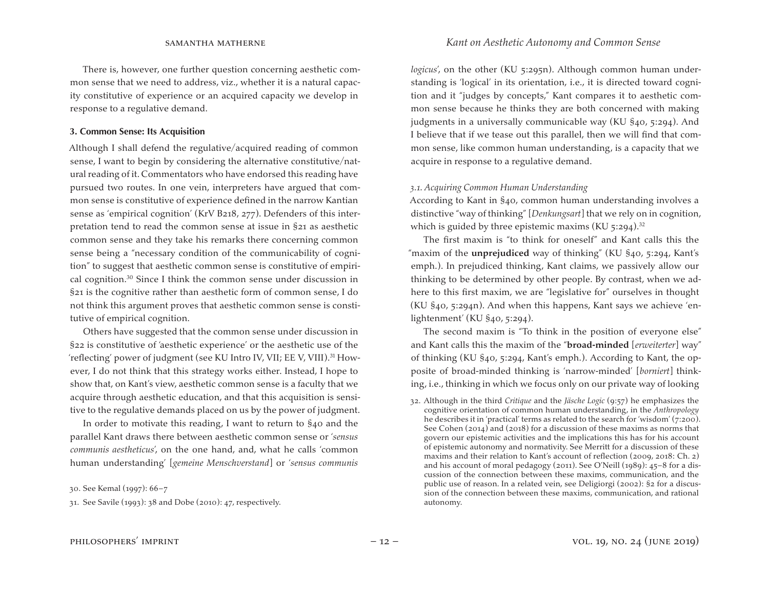There is, however, one further question concerning aesthetic common sense that we need to address, viz., whether it is a natural capacity constitutive of experience or an acquired capacity we develop in response to a regulative demand.

#### **3. Common Sense: Its Acquisition**

Although I shall defend the regulative/acquired reading of common sense, I want to begin by considering the alternative constitutive/natural reading of it. Commentators who have endorsed this reading have pursued two routes. In one vein, interpreters have argued that common sense is constitutive of experience defined in the narrow Kantian sense as 'empirical cognition' (KrV B218, 277). Defenders of this interpretation tend to read the common sense at issue in §21 as aesthetic common sense and they take his remarks there concerning common sense being a "necessary condition of the communicability of cognition" to suggest that aesthetic common sense is constitutive of empirical cognition.30 Since I think the common sense under discussion in §21 is the cognitive rather than aesthetic form of common sense, I do not think this argument proves that aesthetic common sense is constitutive of empirical cognition.

Others have suggested that the common sense under discussion in §22 is constitutive of 'aesthetic experience' or the aesthetic use of the 'reflecting' power of judgment (see KU Intro IV, VII; EE V, VIII).31 However, I do not think that this strategy works either. Instead, I hope to show that, on Kant's view, aesthetic common sense is a faculty that we acquire through aesthetic education, and that this acquisition is sensitive to the regulative demands placed on us by the power of judgment.

In order to motivate this reading, I want to return to §40 and the parallel Kant draws there between aesthetic common sense or '*sensus communis aestheticus*', on the one hand, and, what he calls 'common human understanding' [*gemeine Menschverstand*] or '*sensus communis* 

30. See Kemal (1997): 66–7

31. See Savile (1993): 38 and Dobe (2010): 47, respectively.

*logicus'*, on the other (KU 5:295n). Although common human understanding is 'logical' in its orientation, i.e., it is directed toward cognition and it "judges by concepts," Kant compares it to aesthetic common sense because he thinks they are both concerned with making judgments in a universally communicable way (KU §40, 5:294). And I believe that if we tease out this parallel, then we will find that common sense, like common human understanding, is a capacity that we acquire in response to a regulative demand.

#### *3.1. Acquiring Common Human Understanding*

According to Kant in §40, common human understanding involves a distinctive "way of thinking" [*Denkungsart*] that we rely on in cognition, which is guided by three epistemic maxims  $(KU 5:294).$ <sup>32</sup>

The first maxim is "to think for oneself" and Kant calls this the "maxim of the **unprejudiced** way of thinking" (KU §40, 5:294, Kant's emph.). In prejudiced thinking, Kant claims, we passively allow our thinking to be determined by other people. By contrast, when we adhere to this first maxim, we are "legislative for" ourselves in thought (KU §40, 5:294n). And when this happens, Kant says we achieve 'enlightenment' (KU §40, 5:294).

The second maxim is "To think in the position of everyone else" and Kant calls this the maxim of the "**broad-minded** [*erweiterter*] way" of thinking (KU §40, 5:294, Kant's emph.). According to Kant, the opposite of broad-minded thinking is 'narrow-minded' [*borniert*] thinking, i.e., thinking in which we focus only on our private way of looking

<sup>32.</sup> Although in the third *Critique* and the *Jäsche Logic* (9:57) he emphasizes the cognitive orientation of common human understanding, in the *Anthropology*  he describes it in 'practical' terms as related to the search for 'wisdom' (7:200). See Cohen (2014) and (2018) for a discussion of these maxims as norms that govern our epistemic activities and the implications this has for his account of epistemic autonomy and normativity. See Merritt for a discussion of these maxims and their relation to Kant's account of reflection (2009, 2018: Ch. 2) and his account of moral pedagogy (2011). See O'Neill (1989): 45–8 for a discussion of the connection between these maxims, communication, and the public use of reason. In a related vein, see Deligiorgi (2002): §2 for a discussion of the connection between these maxims, communication, and rational autonomy.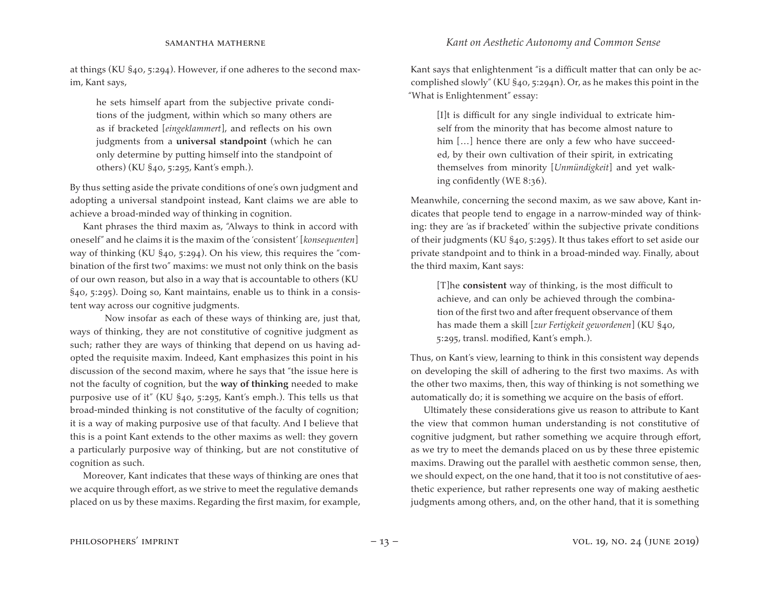at things (KU §40, 5:294). However, if one adheres to the second maxim, Kant says,

he sets himself apart from the subjective private conditions of the judgment, within which so many others are as if bracketed [*eingeklammert*], and reflects on his own judgments from a **universal standpoint** (which he can only determine by putting himself into the standpoint of others) (KU §40, 5:295, Kant's emph.).

By thus setting aside the private conditions of one's own judgment and adopting a universal standpoint instead, Kant claims we are able to achieve a broad-minded way of thinking in cognition.

Kant phrases the third maxim as, "Always to think in accord with oneself" and he claims it is the maxim of the 'consistent' [*konsequenten*] way of thinking (KU §40, 5:294). On his view, this requires the "combination of the first two" maxims: we must not only think on the basis of our own reason, but also in a way that is accountable to others (KU §40, 5:295). Doing so, Kant maintains, enable us to think in a consistent way across our cognitive judgments.

 Now insofar as each of these ways of thinking are, just that, ways of thinking, they are not constitutive of cognitive judgment as such; rather they are ways of thinking that depend on us having adopted the requisite maxim. Indeed, Kant emphasizes this point in his discussion of the second maxim, where he says that "the issue here is not the faculty of cognition, but the **way of thinking** needed to make purposive use of it" (KU §40, 5:295, Kant's emph.). This tells us that broad-minded thinking is not constitutive of the faculty of cognition; it is a way of making purposive use of that faculty. And I believe that this is a point Kant extends to the other maxims as well: they govern a particularly purposive way of thinking, but are not constitutive of cognition as such.

Moreover, Kant indicates that these ways of thinking are ones that we acquire through effort, as we strive to meet the regulative demands placed on us by these maxims. Regarding the first maxim, for example,

Kant says that enlightenment "is a difficult matter that can only be accomplished slowly" (KU §40, 5:294n). Or, as he makes this point in the "What is Enlightenment" essay:

[I]t is difficult for any single individual to extricate himself from the minority that has become almost nature to him [...] hence there are only a few who have succeeded, by their own cultivation of their spirit, in extricating themselves from minority [*Unmündigkeit*] and yet walking confidently (WE 8:36).

Meanwhile, concerning the second maxim, as we saw above, Kant indicates that people tend to engage in a narrow-minded way of thinking: they are 'as if bracketed' within the subjective private conditions of their judgments (KU §40, 5:295). It thus takes effort to set aside our private standpoint and to think in a broad-minded way. Finally, about the third maxim, Kant says:

[T]he **consistent** way of thinking, is the most difficult to achieve, and can only be achieved through the combination of the first two and after frequent observance of them has made them a skill [*zur Fertigkeit gewordenen*] (KU §40, 5:295, transl. modified, Kant's emph.).

Thus, on Kant's view, learning to think in this consistent way depends on developing the skill of adhering to the first two maxims. As with the other two maxims, then, this way of thinking is not something we automatically do; it is something we acquire on the basis of effort.

Ultimately these considerations give us reason to attribute to Kant the view that common human understanding is not constitutive of cognitive judgment, but rather something we acquire through effort, as we try to meet the demands placed on us by these three epistemic maxims. Drawing out the parallel with aesthetic common sense, then, we should expect, on the one hand, that it too is not constitutive of aesthetic experience, but rather represents one way of making aesthetic judgments among others, and, on the other hand, that it is something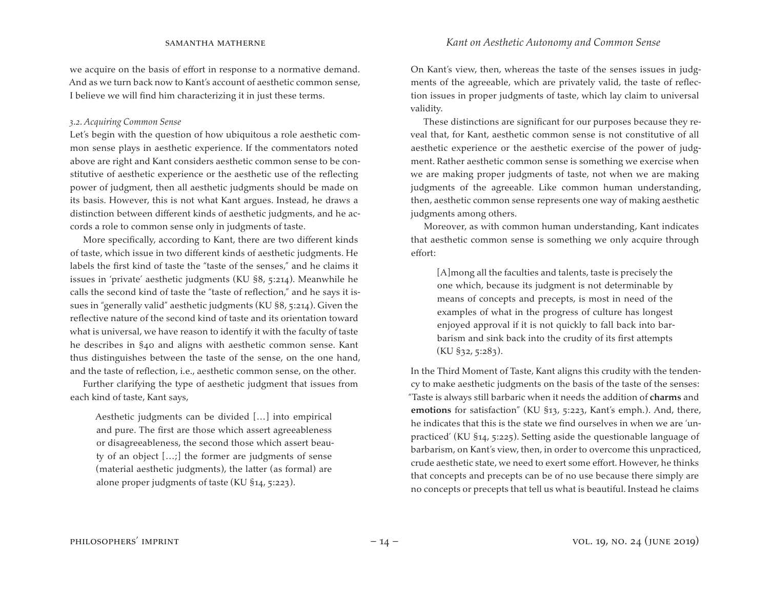we acquire on the basis of effort in response to a normative demand. And as we turn back now to Kant's account of aesthetic common sense, I believe we will find him characterizing it in just these terms.

### *3.2. Acquiring Common Sense*

Let's begin with the question of how ubiquitous a role aesthetic common sense plays in aesthetic experience. If the commentators noted above are right and Kant considers aesthetic common sense to be constitutive of aesthetic experience or the aesthetic use of the reflecting power of judgment, then all aesthetic judgments should be made on its basis. However, this is not what Kant argues. Instead, he draws a distinction between different kinds of aesthetic judgments, and he accords a role to common sense only in judgments of taste.

More specifically, according to Kant, there are two different kinds of taste, which issue in two different kinds of aesthetic judgments. He labels the first kind of taste the "taste of the senses," and he claims it issues in 'private' aesthetic judgments (KU §8, 5:214). Meanwhile he calls the second kind of taste the "taste of reflection," and he says it issues in "generally valid" aesthetic judgments (KU §8, 5:214). Given the reflective nature of the second kind of taste and its orientation toward what is universal, we have reason to identify it with the faculty of taste he describes in §40 and aligns with aesthetic common sense. Kant thus distinguishes between the taste of the sense, on the one hand, and the taste of reflection, i.e., aesthetic common sense, on the other.

Further clarifying the type of aesthetic judgment that issues from each kind of taste, Kant says,

Aesthetic judgments can be divided […] into empirical and pure. The first are those which assert agreeableness or disagreeableness, the second those which assert beauty of an object […;] the former are judgments of sense (material aesthetic judgments), the latter (as formal) are alone proper judgments of taste (KU §14, 5:223).

On Kant's view, then, whereas the taste of the senses issues in judgments of the agreeable, which are privately valid, the taste of reflection issues in proper judgments of taste, which lay claim to universal validity.

These distinctions are significant for our purposes because they reveal that, for Kant, aesthetic common sense is not constitutive of all aesthetic experience or the aesthetic exercise of the power of judgment. Rather aesthetic common sense is something we exercise when we are making proper judgments of taste, not when we are making judgments of the agreeable. Like common human understanding, then, aesthetic common sense represents one way of making aesthetic judgments among others.

Moreover, as with common human understanding, Kant indicates that aesthetic common sense is something we only acquire through effort:

[A]mong all the faculties and talents, taste is precisely the one which, because its judgment is not determinable by means of concepts and precepts, is most in need of the examples of what in the progress of culture has longest enjoyed approval if it is not quickly to fall back into barbarism and sink back into the crudity of its first attempts  $(KU \, \S32, 5:283).$ 

In the Third Moment of Taste, Kant aligns this crudity with the tendency to make aesthetic judgments on the basis of the taste of the senses: "Taste is always still barbaric when it needs the addition of **charms** and **emotions** for satisfaction" (KU §13, 5:223, Kant's emph.). And, there, he indicates that this is the state we find ourselves in when we are 'unpracticed' (KU §14, 5:225). Setting aside the questionable language of barbarism, on Kant's view, then, in order to overcome this unpracticed, crude aesthetic state, we need to exert some effort. However, he thinks that concepts and precepts can be of no use because there simply are no concepts or precepts that tell us what is beautiful. Instead he claims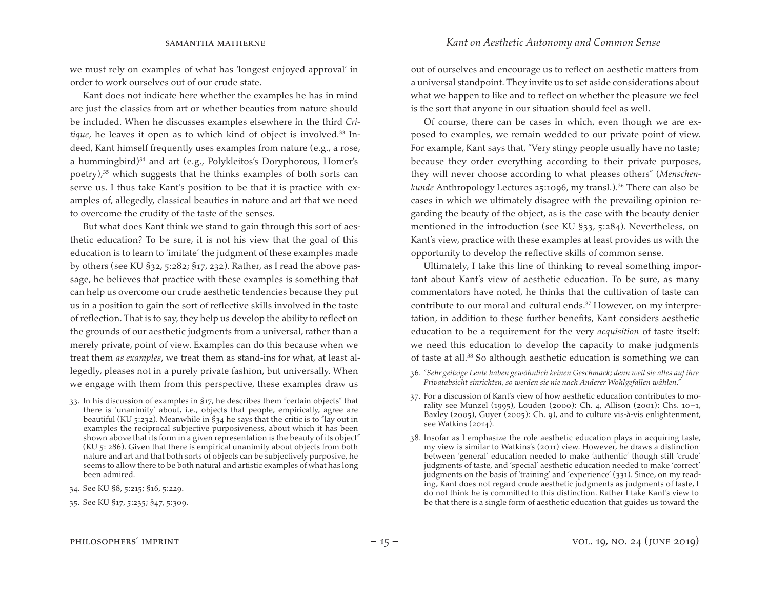we must rely on examples of what has 'longest enjoyed approval' in order to work ourselves out of our crude state.

Kant does not indicate here whether the examples he has in mind are just the classics from art or whether beauties from nature should be included. When he discusses examples elsewhere in the third *Critique*, he leaves it open as to which kind of object is involved.<sup>33</sup> Indeed, Kant himself frequently uses examples from nature (e.g., a rose, a hummingbird)34 and art (e.g., Polykleitos's Doryphorous, Homer's poetry), $35$  which suggests that he thinks examples of both sorts can serve us. I thus take Kant's position to be that it is practice with examples of, allegedly, classical beauties in nature and art that we need to overcome the crudity of the taste of the senses.

But what does Kant think we stand to gain through this sort of aesthetic education? To be sure, it is not his view that the goal of this education is to learn to 'imitate' the judgment of these examples made by others (see KU §32, 5:282; §17, 232). Rather, as I read the above passage, he believes that practice with these examples is something that can help us overcome our crude aesthetic tendencies because they put us in a position to gain the sort of reflective skills involved in the taste of reflection. That is to say, they help us develop the ability to reflect on the grounds of our aesthetic judgments from a universal, rather than a merely private, point of view. Examples can do this because when we treat them *as examples*, we treat them as stand-ins for what, at least allegedly, pleases not in a purely private fashion, but universally. When we engage with them from this perspective, these examples draw us

- 33. In his discussion of examples in §17, he describes them "certain objects" that there is 'unanimity' about, i.e., objects that people, empirically, agree are beautiful (KU 5:232). Meanwhile in §34 he says that the critic is to "lay out in examples the reciprocal subjective purposiveness, about which it has been shown above that its form in a given representation is the beauty of its object" (KU 5: 286). Given that there is empirical unanimity about objects from both nature and art and that both sorts of objects can be subjectively purposive, he seems to allow there to be both natural and artistic examples of what has long been admired.
- 34. See KU §8, 5:215; §16, 5:229.
- 35. See KU §17, 5:235; §47, 5:309.

out of ourselves and encourage us to reflect on aesthetic matters from a universal standpoint. They invite us to set aside considerations about what we happen to like and to reflect on whether the pleasure we feel is the sort that anyone in our situation should feel as well.

Of course, there can be cases in which, even though we are exposed to examples, we remain wedded to our private point of view. For example, Kant says that, "Very stingy people usually have no taste; because they order everything according to their private purposes, they will never choose according to what pleases others" (*Menschenkunde* Anthropology Lectures 25:1096, my transl.).<sup>36</sup> There can also be cases in which we ultimately disagree with the prevailing opinion regarding the beauty of the object, as is the case with the beauty denier mentioned in the introduction (see KU §33, 5:284). Nevertheless, on Kant's view, practice with these examples at least provides us with the opportunity to develop the reflective skills of common sense.

Ultimately, I take this line of thinking to reveal something important about Kant's view of aesthetic education. To be sure, as many commentators have noted, he thinks that the cultivation of taste can contribute to our moral and cultural ends.<sup>37</sup> However, on my interpretation, in addition to these further benefits, Kant considers aesthetic education to be a requirement for the very *acquisition* of taste itself: we need this education to develop the capacity to make judgments of taste at all.38 So although aesthetic education is something we can

- 36. "*Sehr geitzige Leute haben gewöhnlich keinen Geschmack; denn weil sie alles auf ihre Privatabsicht einrichten, so werden sie nie nach Anderer Wohlgefallen wählen*."
- 37. For a discussion of Kant's view of how aesthetic education contributes to morality see Munzel (1995), Louden (2000): Ch. 4, Allison (2001): Chs. 10–1, Baxley (2005), Guyer (2005): Ch. 9), and to culture vis-à-vis enlightenment, see Watkins (2014).
- 38. Insofar as I emphasize the role aesthetic education plays in acquiring taste, my view is similar to Watkins's (2011) view. However, he draws a distinction between 'general' education needed to make 'authentic' though still 'crude' judgments of taste, and 'special' aesthetic education needed to make 'correct' judgments on the basis of 'training' and 'experience' (331). Since, on my reading, Kant does not regard crude aesthetic judgments as judgments of taste, I do not think he is committed to this distinction. Rather I take Kant's view to be that there is a single form of aesthetic education that guides us toward the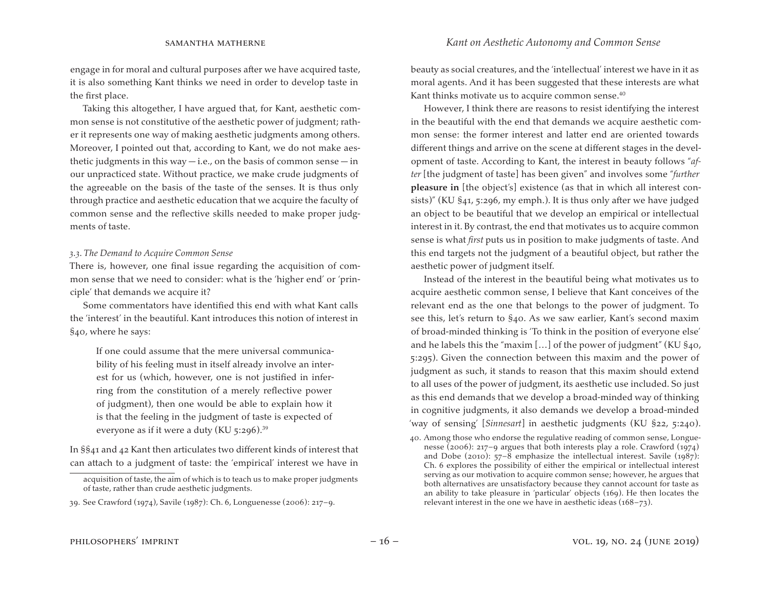engage in for moral and cultural purposes after we have acquired taste, it is also something Kant thinks we need in order to develop taste in the first place.

Taking this altogether, I have argued that, for Kant, aesthetic common sense is not constitutive of the aesthetic power of judgment; rather it represents one way of making aesthetic judgments among others. Moreover, I pointed out that, according to Kant, we do not make aesthetic judgments in this way  $-i.e.,$  on the basis of common sense  $-i$ n our unpracticed state. Without practice, we make crude judgments of the agreeable on the basis of the taste of the senses. It is thus only through practice and aesthetic education that we acquire the faculty of common sense and the reflective skills needed to make proper judgments of taste.

#### *3.3. The Demand to Acquire Common Sense*

There is, however, one final issue regarding the acquisition of common sense that we need to consider: what is the 'higher end' or 'principle' that demands we acquire it?

Some commentators have identified this end with what Kant calls the 'interest' in the beautiful. Kant introduces this notion of interest in §40, where he says:

If one could assume that the mere universal communicability of his feeling must in itself already involve an interest for us (which, however, one is not justified in inferring from the constitution of a merely reflective power of judgment), then one would be able to explain how it is that the feeling in the judgment of taste is expected of everyone as if it were a duty (KU  $5:296$ ).<sup>39</sup>

In §§41 and 42 Kant then articulates two different kinds of interest that can attach to a judgment of taste: the 'empirical' interest we have in beauty as social creatures, and the 'intellectual' interest we have in it as moral agents. And it has been suggested that these interests are what Kant thinks motivate us to acquire common sense.<sup>40</sup>

However, I think there are reasons to resist identifying the interest in the beautiful with the end that demands we acquire aesthetic common sense: the former interest and latter end are oriented towards different things and arrive on the scene at different stages in the development of taste. According to Kant, the interest in beauty follows "*after* [the judgment of taste] has been given" and involves some "*further*  **pleasure in** [the object's] existence (as that in which all interest consists)" (KU §41, 5:296, my emph.). It is thus only after we have judged an object to be beautiful that we develop an empirical or intellectual interest in it. By contrast, the end that motivates us to acquire common sense is what *first* puts us in position to make judgments of taste. And this end targets not the judgment of a beautiful object, but rather the aesthetic power of judgment itself.

Instead of the interest in the beautiful being what motivates us to acquire aesthetic common sense, I believe that Kant conceives of the relevant end as the one that belongs to the power of judgment. To see this, let's return to §40. As we saw earlier, Kant's second maxim of broad-minded thinking is 'To think in the position of everyone else' and he labels this the "maxim […] of the power of judgment" (KU §40, 5:295). Given the connection between this maxim and the power of judgment as such, it stands to reason that this maxim should extend to all uses of the power of judgment, its aesthetic use included. So just as this end demands that we develop a broad-minded way of thinking in cognitive judgments, it also demands we develop a broad-minded 'way of sensing' [*Sinnesart*] in aesthetic judgments (KU §22, 5:240).

acquisition of taste, the aim of which is to teach us to make proper judgments of taste, rather than crude aesthetic judgments.

<sup>39.</sup> See Crawford (1974), Savile (1987): Ch. 6, Longuenesse (2006): 217–9.

<sup>40.</sup> Among those who endorse the regulative reading of common sense, Longuenesse (2006): 217–9 argues that both interests play a role. Crawford (1974) and Dobe (2010): 57–8 emphasize the intellectual interest. Savile (1987): Ch. 6 explores the possibility of either the empirical or intellectual interest serving as our motivation to acquire common sense; however, he argues that both alternatives are unsatisfactory because they cannot account for taste as an ability to take pleasure in 'particular' objects (169). He then locates the relevant interest in the one we have in aesthetic ideas (168–73).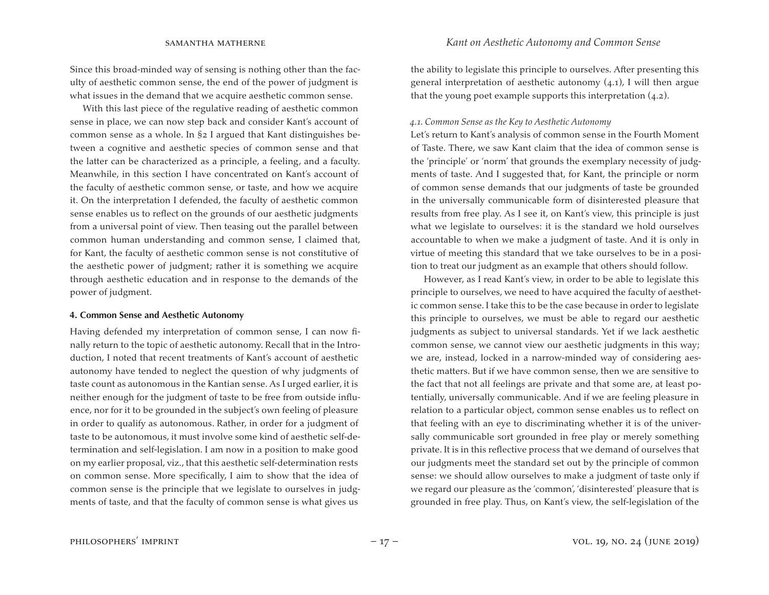Since this broad-minded way of sensing is nothing other than the faculty of aesthetic common sense, the end of the power of judgment is what issues in the demand that we acquire aesthetic common sense.

With this last piece of the regulative reading of aesthetic common sense in place, we can now step back and consider Kant's account of common sense as a whole. In §2 I argued that Kant distinguishes between a cognitive and aesthetic species of common sense and that the latter can be characterized as a principle, a feeling, and a faculty. Meanwhile, in this section I have concentrated on Kant's account of the faculty of aesthetic common sense, or taste, and how we acquire it. On the interpretation I defended, the faculty of aesthetic common sense enables us to reflect on the grounds of our aesthetic judgments from a universal point of view. Then teasing out the parallel between common human understanding and common sense, I claimed that, for Kant, the faculty of aesthetic common sense is not constitutive of the aesthetic power of judgment; rather it is something we acquire through aesthetic education and in response to the demands of the power of judgment.

#### **4. Common Sense and Aesthetic Autonomy**

Having defended my interpretation of common sense, I can now finally return to the topic of aesthetic autonomy. Recall that in the Introduction, I noted that recent treatments of Kant's account of aesthetic autonomy have tended to neglect the question of why judgments of taste count as autonomous in the Kantian sense. As I urged earlier, it is neither enough for the judgment of taste to be free from outside influence, nor for it to be grounded in the subject's own feeling of pleasure in order to qualify as autonomous. Rather, in order for a judgment of taste to be autonomous, it must involve some kind of aesthetic self-determination and self-legislation. I am now in a position to make good on my earlier proposal, viz., that this aesthetic self-determination rests on common sense. More specifically, I aim to show that the idea of common sense is the principle that we legislate to ourselves in judgments of taste, and that the faculty of common sense is what gives us

the ability to legislate this principle to ourselves. After presenting this general interpretation of aesthetic autonomy  $(4.1)$ , I will then argue that the young poet example supports this interpretation  $(4.2)$ .

### *4.1. Common Sense as the Key to Aesthetic Autonomy*

Let's return to Kant's analysis of common sense in the Fourth Moment of Taste. There, we saw Kant claim that the idea of common sense is the 'principle' or 'norm' that grounds the exemplary necessity of judgments of taste. And I suggested that, for Kant, the principle or norm of common sense demands that our judgments of taste be grounded in the universally communicable form of disinterested pleasure that results from free play. As I see it, on Kant's view, this principle is just what we legislate to ourselves: it is the standard we hold ourselves accountable to when we make a judgment of taste. And it is only in virtue of meeting this standard that we take ourselves to be in a position to treat our judgment as an example that others should follow.

However, as I read Kant's view, in order to be able to legislate this principle to ourselves, we need to have acquired the faculty of aesthetic common sense. I take this to be the case because in order to legislate this principle to ourselves, we must be able to regard our aesthetic judgments as subject to universal standards. Yet if we lack aesthetic common sense, we cannot view our aesthetic judgments in this way; we are, instead, locked in a narrow-minded way of considering aesthetic matters. But if we have common sense, then we are sensitive to the fact that not all feelings are private and that some are, at least potentially, universally communicable. And if we are feeling pleasure in relation to a particular object, common sense enables us to reflect on that feeling with an eye to discriminating whether it is of the universally communicable sort grounded in free play or merely something private. It is in this reflective process that we demand of ourselves that our judgments meet the standard set out by the principle of common sense: we should allow ourselves to make a judgment of taste only if we regard our pleasure as the 'common', 'disinterested' pleasure that is grounded in free play. Thus, on Kant's view, the self-legislation of the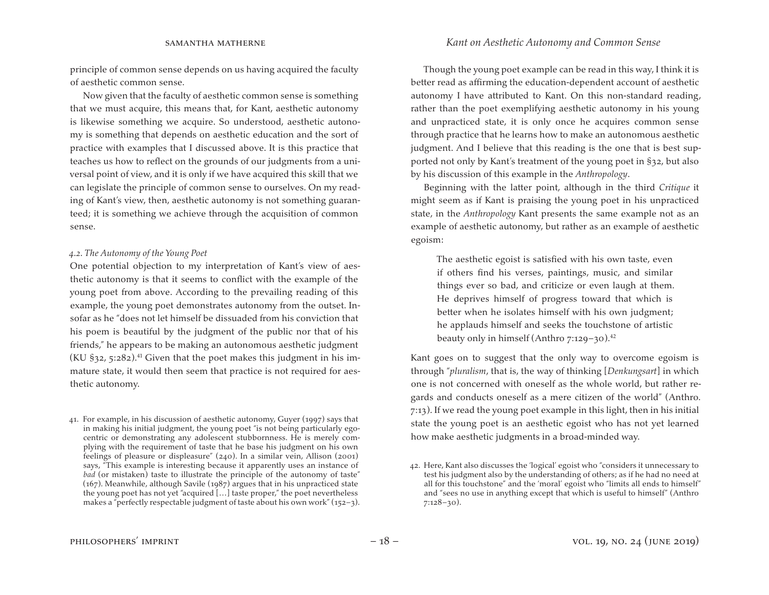principle of common sense depends on us having acquired the faculty of aesthetic common sense.

Now given that the faculty of aesthetic common sense is something that we must acquire, this means that, for Kant, aesthetic autonomy is likewise something we acquire. So understood, aesthetic autonomy is something that depends on aesthetic education and the sort of practice with examples that I discussed above. It is this practice that teaches us how to reflect on the grounds of our judgments from a universal point of view, and it is only if we have acquired this skill that we can legislate the principle of common sense to ourselves. On my reading of Kant's view, then, aesthetic autonomy is not something guaranteed; it is something we achieve through the acquisition of common sense.

### *4.2. The Autonomy of the Young Poet*

One potential objection to my interpretation of Kant's view of aesthetic autonomy is that it seems to conflict with the example of the young poet from above. According to the prevailing reading of this example, the young poet demonstrates autonomy from the outset. Insofar as he "does not let himself be dissuaded from his conviction that his poem is beautiful by the judgment of the public nor that of his friends," he appears to be making an autonomous aesthetic judgment (KU  $\S$ 32, 5:282).<sup>41</sup> Given that the poet makes this judgment in his immature state, it would then seem that practice is not required for aesthetic autonomy.

41. For example, in his discussion of aesthetic autonomy, Guyer (1997) says that in making his initial judgment, the young poet "is not being particularly egocentric or demonstrating any adolescent stubbornness. He is merely complying with the requirement of taste that he base his judgment on his own feelings of pleasure or displeasure" (240). In a similar vein, Allison (2001) says, "This example is interesting because it apparently uses an instance of *bad* (or mistaken) taste to illustrate the principle of the autonomy of taste" (167). Meanwhile, although Savile (1987) argues that in his unpracticed state the young poet has not yet "acquired […] taste proper," the poet nevertheless makes a "perfectly respectable judgment of taste about his own work" (152–3).

Though the young poet example can be read in this way, I think it is better read as affirming the education-dependent account of aesthetic autonomy I have attributed to Kant. On this non-standard reading, rather than the poet exemplifying aesthetic autonomy in his young and unpracticed state, it is only once he acquires common sense through practice that he learns how to make an autonomous aesthetic judgment. And I believe that this reading is the one that is best supported not only by Kant's treatment of the young poet in §32, but also by his discussion of this example in the *Anthropology*.

Beginning with the latter point, although in the third *Critique* it might seem as if Kant is praising the young poet in his unpracticed state, in the *Anthropology* Kant presents the same example not as an example of aesthetic autonomy, but rather as an example of aesthetic egoism:

The aesthetic egoist is satisfied with his own taste, even if others find his verses, paintings, music, and similar things ever so bad, and criticize or even laugh at them. He deprives himself of progress toward that which is better when he isolates himself with his own judgment; he applauds himself and seeks the touchstone of artistic beauty only in himself (Anthro 7:129–30).42

Kant goes on to suggest that the only way to overcome egoism is through "*pluralism*, that is, the way of thinking [*Denkungsart*] in which one is not concerned with oneself as the whole world, but rather regards and conducts oneself as a mere citizen of the world" (Anthro. 7:13). If we read the young poet example in this light, then in his initial state the young poet is an aesthetic egoist who has not yet learned how make aesthetic judgments in a broad-minded way.

<sup>42.</sup> Here, Kant also discusses the 'logical' egoist who "considers it unnecessary to test his judgment also by the understanding of others; as if he had no need at all for this touchstone" and the 'moral' egoist who "limits all ends to himself" and "sees no use in anything except that which is useful to himself" (Anthro 7:128–30).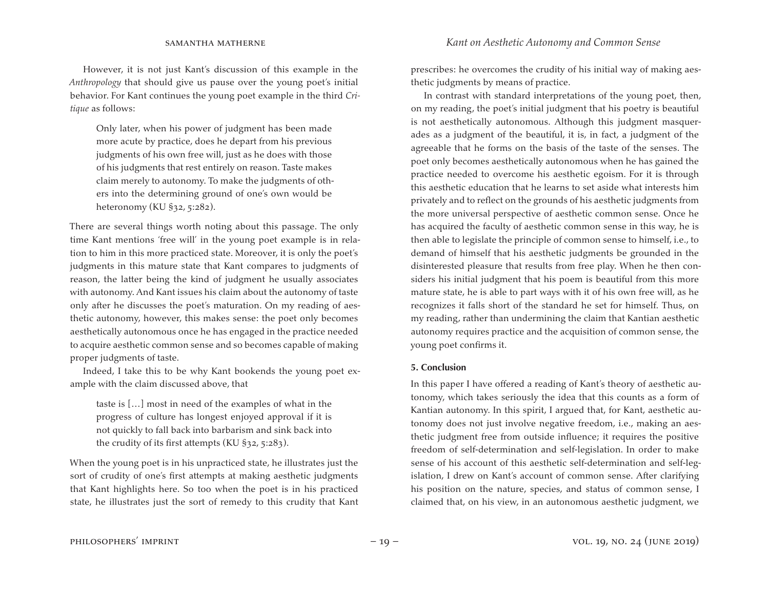However, it is not just Kant's discussion of this example in the *Anthropology* that should give us pause over the young poet's initial behavior. For Kant continues the young poet example in the third *Critique* as follows:

Only later, when his power of judgment has been made more acute by practice, does he depart from his previous judgments of his own free will, just as he does with those of his judgments that rest entirely on reason. Taste makes claim merely to autonomy. To make the judgments of others into the determining ground of one's own would be heteronomy (KU §32, 5:282).

There are several things worth noting about this passage. The only time Kant mentions 'free will' in the young poet example is in relation to him in this more practiced state. Moreover, it is only the poet's judgments in this mature state that Kant compares to judgments of reason, the latter being the kind of judgment he usually associates with autonomy. And Kant issues his claim about the autonomy of taste only after he discusses the poet's maturation. On my reading of aesthetic autonomy, however, this makes sense: the poet only becomes aesthetically autonomous once he has engaged in the practice needed to acquire aesthetic common sense and so becomes capable of making proper judgments of taste.

Indeed, I take this to be why Kant bookends the young poet example with the claim discussed above, that

taste is […] most in need of the examples of what in the progress of culture has longest enjoyed approval if it is not quickly to fall back into barbarism and sink back into the crudity of its first attempts (KU  $\S$ 32, 5:283).

When the young poet is in his unpracticed state, he illustrates just the sort of crudity of one's first attempts at making aesthetic judgments that Kant highlights here. So too when the poet is in his practiced state, he illustrates just the sort of remedy to this crudity that Kant

prescribes: he overcomes the crudity of his initial way of making aesthetic judgments by means of practice.

In contrast with standard interpretations of the young poet, then, on my reading, the poet's initial judgment that his poetry is beautiful is not aesthetically autonomous. Although this judgment masquerades as a judgment of the beautiful, it is, in fact, a judgment of the agreeable that he forms on the basis of the taste of the senses. The poet only becomes aesthetically autonomous when he has gained the practice needed to overcome his aesthetic egoism. For it is through this aesthetic education that he learns to set aside what interests him privately and to reflect on the grounds of his aesthetic judgments from the more universal perspective of aesthetic common sense. Once he has acquired the faculty of aesthetic common sense in this way, he is then able to legislate the principle of common sense to himself, i.e., to demand of himself that his aesthetic judgments be grounded in the disinterested pleasure that results from free play. When he then considers his initial judgment that his poem is beautiful from this more mature state, he is able to part ways with it of his own free will, as he recognizes it falls short of the standard he set for himself. Thus, on my reading, rather than undermining the claim that Kantian aesthetic autonomy requires practice and the acquisition of common sense, the young poet confirms it.

#### **5. Conclusion**

In this paper I have offered a reading of Kant's theory of aesthetic autonomy, which takes seriously the idea that this counts as a form of Kantian autonomy. In this spirit, I argued that, for Kant, aesthetic autonomy does not just involve negative freedom, i.e., making an aesthetic judgment free from outside influence; it requires the positive freedom of self-determination and self-legislation. In order to make sense of his account of this aesthetic self-determination and self-legislation, I drew on Kant's account of common sense. After clarifying his position on the nature, species, and status of common sense, I claimed that, on his view, in an autonomous aesthetic judgment, we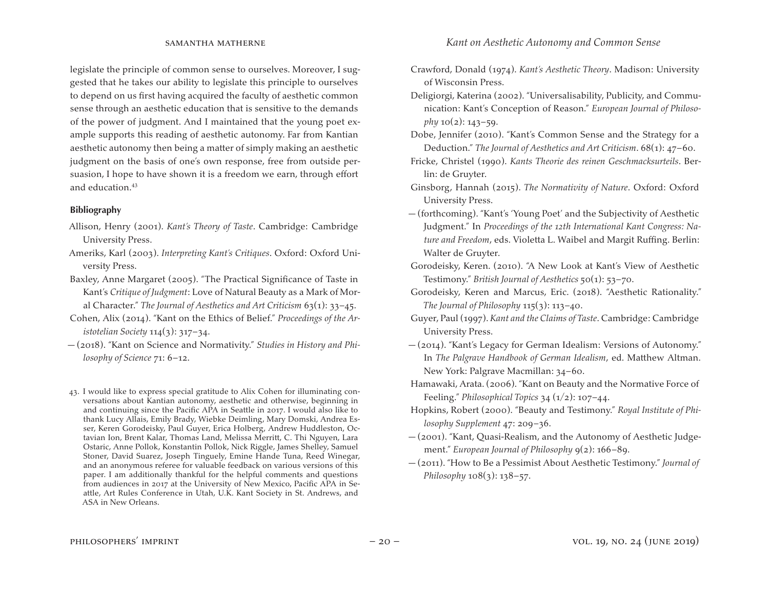legislate the principle of common sense to ourselves. Moreover, I suggested that he takes our ability to legislate this principle to ourselves to depend on us first having acquired the faculty of aesthetic common sense through an aesthetic education that is sensitive to the demands of the power of judgment. And I maintained that the young poet example supports this reading of aesthetic autonomy. Far from Kantian aesthetic autonomy then being a matter of simply making an aesthetic judgment on the basis of one's own response, free from outside persuasion, I hope to have shown it is a freedom we earn, through effort and education.<sup>43</sup>

## **Bibliography**

- Allison, Henry (2001). *Kant's Theory of Taste*. Cambridge: Cambridge University Press.
- Ameriks, Karl (2003). *Interpreting Kant's Critiques*. Oxford: Oxford University Press.
- Baxley, Anne Margaret (2005). "The Practical Significance of Taste in Kant's *Critique of Judgment*: Love of Natural Beauty as a Mark of Moral Character." *The Journal of Aesthetics and Art Criticism* 63(1): 33–45.
- Cohen, Alix (2014). "Kant on the Ethics of Belief." *Proceedings of the Aristotelian Society* 114(3): 317–34.
- (2018). "Kant on Science and Normativity." *Studies in History and Philosophy of Science* 71: 6–12.
- 43. I would like to express special gratitude to Alix Cohen for illuminating conversations about Kantian autonomy, aesthetic and otherwise, beginning in and continuing since the Pacific APA in Seattle in 2017. I would also like to thank Lucy Allais, Emily Brady, Wiebke Deimling, Mary Domski, Andrea Esser, Keren Gorodeisky, Paul Guyer, Erica Holberg, Andrew Huddleston, Octavian Ion, Brent Kalar, Thomas Land, Melissa Merritt, C. Thi Nguyen, Lara Ostaric, Anne Pollok, Konstantin Pollok, Nick Riggle, James Shelley, Samuel Stoner, David Suarez, Joseph Tinguely, Emine Hande Tuna, Reed Winegar, and an anonymous referee for valuable feedback on various versions of this paper. I am additionally thankful for the helpful comments and questions from audiences in 2017 at the University of New Mexico, Pacific APA in Seattle, Art Rules Conference in Utah, U.K. Kant Society in St. Andrews, and ASA in New Orleans.
- Crawford, Donald (1974). *Kant's Aesthetic Theory*. Madison: University of Wisconsin Press.
- Deligiorgi, Katerina (2002). "Universalisability, Publicity, and Communication: Kant's Conception of Reason." *European Journal of Philosophy*  $10(2)$ :  $143-59$ .
- Dobe, Jennifer (2010). "Kant's Common Sense and the Strategy for a Deduction." *The Journal of Aesthetics and Art Criticism*. 68(1): 47–60.
- Fricke, Christel (1990). *Kants Theorie des reinen Geschmacksurteils*. Berlin: de Gruyter.
- Ginsborg, Hannah (2015). *The Normativity of Nature*. Oxford: Oxford University Press.
- (forthcoming). "Kant's 'Young Poet' and the Subjectivity of Aesthetic Judgment." In *Proceedings of the 12th International Kant Congress: Nature and Freedom*, eds. Violetta L. Waibel and Margit Ruffing. Berlin: Walter de Gruyter.
- Gorodeisky, Keren. (2010). "A New Look at Kant's View of Aesthetic Testimony." *British Journal of Aesthetics* 50(1): 53–70.
- Gorodeisky, Keren and Marcus, Eric. (2018). "Aesthetic Rationality." *The Journal of Philosophy* 115(3): 113–40.
- Guyer, Paul (1997). *Kant and the Claims of Taste*. Cambridge: Cambridge University Press.
- (2014). "Kant's Legacy for German Idealism: Versions of Autonomy." In *The Palgrave Handbook of German Idealism*, ed. Matthew Altman. New York: Palgrave Macmillan: 34–60.
- Hamawaki, Arata.(2006). "Kant on Beauty and the Normative Force of Feeling." *Philosophical Topics* 34 (1/2): 107–44.
- Hopkins, Robert (2000). "Beauty and Testimony." *Royal Institute of Philosophy Supplement* 47: 209–36.
- (2001). "Kant, Quasi-Realism, and the Autonomy of Aesthetic Judgement." *European Journal of Philosophy* 9(2): 166–89.
- (2011). "How to Be a Pessimist About Aesthetic Testimony." *Journal of Philosophy* 108(3): 138–57.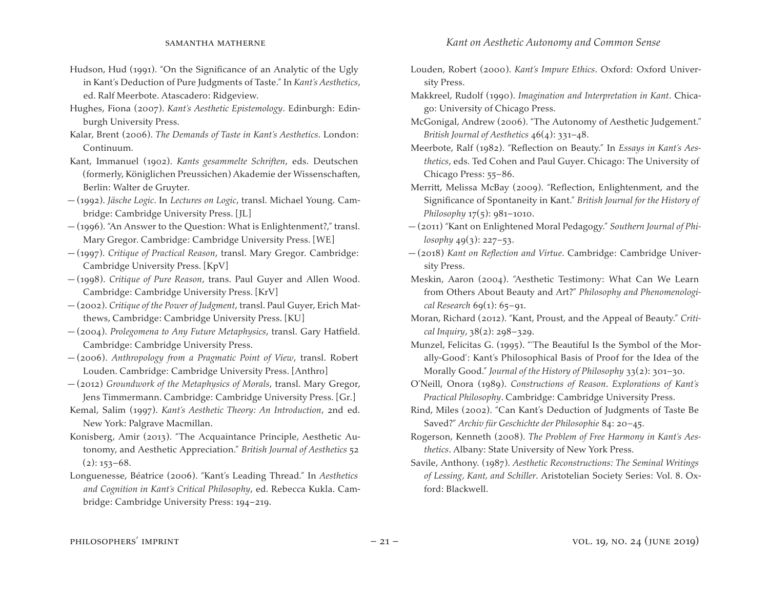- Hudson, Hud (1991). "On the Significance of an Analytic of the Ugly in Kant's Deduction of Pure Judgments of Taste." In *Kant's Aesthetics*, ed. Ralf Meerbote. Atascadero: Ridgeview.
- Hughes, Fiona (2007). *Kant's Aesthetic Epistemology*. Edinburgh: Edinburgh University Press.
- Kalar, Brent (2006). *The Demands of Taste in Kant's Aesthetics*. London: Continuum.
- Kant, Immanuel (1902). *Kants gesammelte Schriften*, eds. Deutschen (formerly, Königlichen Preussichen) Akademie der Wissenschaften, Berlin: Walter de Gruyter.
- (1992). *Jäsche Logic*. In *Lectures on Logic*, transl. Michael Young. Cambridge: Cambridge University Press. [JL]
- (1996). "An Answer to the Question: What is Enlightenment?," transl. Mary Gregor. Cambridge: Cambridge University Press. [WE]
- (1997). *Critique of Practical Reason*, transl. Mary Gregor. Cambridge: Cambridge University Press. [KpV]
- (1998). *Critique of Pure Reason*, trans. Paul Guyer and Allen Wood. Cambridge: Cambridge University Press. [KrV]
- (2002). *Critique of the Power of Judgment*, transl. Paul Guyer, Erich Matthews, Cambridge: Cambridge University Press. [KU]
- (2004). *Prolegomena to Any Future Metaphysics*, transl. Gary Hatfield. Cambridge: Cambridge University Press.
- (2006). *Anthropology from a Pragmatic Point of View*, transl. Robert Louden. Cambridge: Cambridge University Press. [Anthro]
- (2012) *Groundwork of the Metaphysics of Morals*, transl. Mary Gregor, Jens Timmermann. Cambridge: Cambridge University Press. [Gr.]
- Kemal, Salim (1997). *Kant's Aesthetic Theory: An Introduction*, 2nd ed. New York: Palgrave Macmillan.
- Konisberg, Amir (2013). "The Acquaintance Principle, Aesthetic Autonomy, and Aesthetic Appreciation." *British Journal of Aesthetics* 52  $(2): 153 - 68.$
- Longuenesse, Béatrice (2006). "Kant's Leading Thread." In *Aesthetics and Cognition in Kant's Critical Philosophy*, ed. Rebecca Kukla. Cambridge: Cambridge University Press: 194–219.
- Louden, Robert (2000). *Kant's Impure Ethics*. Oxford: Oxford University Press.
- Makkreel, Rudolf (1990). *Imagination and Interpretation in Kant*. Chicago: University of Chicago Press.
- McGonigal, Andrew (2006). "The Autonomy of Aesthetic Judgement." *British Journal of Aesthetics* 46(4): 331–48.
- Meerbote, Ralf (1982). "Reflection on Beauty." In *Essays in Kant's Aesthetics*, eds. Ted Cohen and Paul Guyer. Chicago: The University of Chicago Press: 55–86.
- Merritt, Melissa McBay (2009). "Reflection, Enlightenment, and the Significance of Spontaneity in Kant." *British Journal for the History of Philosophy* 17(5): 981–1010.
- (2011) "Kant on Enlightened Moral Pedagogy." *Southern Journal of Philosophy* 49(3): 227–53.
- (2018) *Kant on Reflection and Virtue*. Cambridge: Cambridge University Press.
- Meskin, Aaron (2004). "Aesthetic Testimony: What Can We Learn from Others About Beauty and Art?" *Philosophy and Phenomenological Research* 69(1): 65–91.
- Moran, Richard (2012). "Kant, Proust, and the Appeal of Beauty." *Critical Inquiry*, 38(2): 298–329.
- Munzel, Felicitas G. (1995). "'The Beautiful Is the Symbol of the Morally-Good': Kant's Philosophical Basis of Proof for the Idea of the Morally Good." *Journal of the History of Philosophy* 33(2): 301–30.
- O'Neill, Onora (1989). *Constructions of Reason*. *Explorations of Kant's Practical Philosophy*. Cambridge: Cambridge University Press.
- Rind, Miles (2002). "Can Kant's Deduction of Judgments of Taste Be Saved?" *Archiv für Geschichte der Philosophie* 84: 20–45.
- Rogerson, Kenneth (2008). *The Problem of Free Harmony in Kant's Aesthetics*. Albany: State University of New York Press.
- Savile, Anthony. (1987). *Aesthetic Reconstructions: The Seminal Writings of Lessing, Kant, and Schiller*. Aristotelian Society Series: Vol. 8. Oxford: Blackwell.